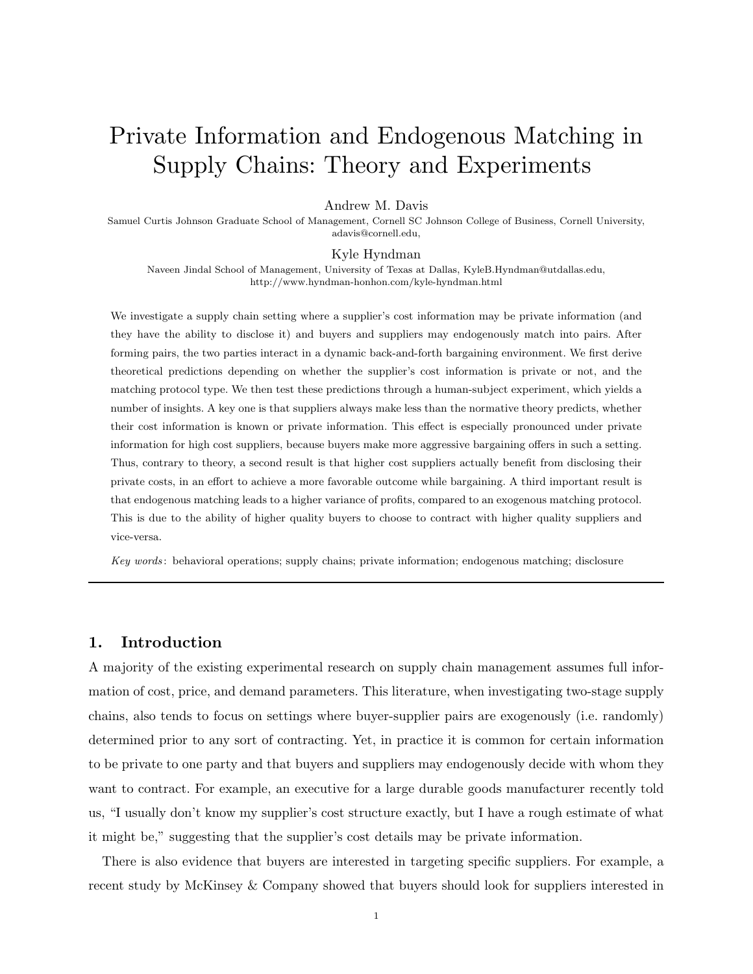# Private Information and Endogenous Matching in Supply Chains: Theory and Experiments

#### Andrew M. Davis

Samuel Curtis Johnson Graduate School of Management, Cornell SC Johnson College of Business, Cornell University, adavis@cornell.edu,

#### Kyle Hyndman

Naveen Jindal School of Management, University of Texas at Dallas, KyleB.Hyndman@utdallas.edu, http://www.hyndman-honhon.com/kyle-hyndman.html

We investigate a supply chain setting where a supplier's cost information may be private information (and they have the ability to disclose it) and buyers and suppliers may endogenously match into pairs. After forming pairs, the two parties interact in a dynamic back-and-forth bargaining environment. We first derive theoretical predictions depending on whether the supplier's cost information is private or not, and the matching protocol type. We then test these predictions through a human-subject experiment, which yields a number of insights. A key one is that suppliers always make less than the normative theory predicts, whether their cost information is known or private information. This effect is especially pronounced under private information for high cost suppliers, because buyers make more aggressive bargaining offers in such a setting. Thus, contrary to theory, a second result is that higher cost suppliers actually benefit from disclosing their private costs, in an effort to achieve a more favorable outcome while bargaining. A third important result is that endogenous matching leads to a higher variance of profits, compared to an exogenous matching protocol. This is due to the ability of higher quality buyers to choose to contract with higher quality suppliers and vice-versa.

Key words : behavioral operations; supply chains; private information; endogenous matching; disclosure

## 1. Introduction

A majority of the existing experimental research on supply chain management assumes full information of cost, price, and demand parameters. This literature, when investigating two-stage supply chains, also tends to focus on settings where buyer-supplier pairs are exogenously (i.e. randomly) determined prior to any sort of contracting. Yet, in practice it is common for certain information to be private to one party and that buyers and suppliers may endogenously decide with whom they want to contract. For example, an executive for a large durable goods manufacturer recently told us, "I usually don't know my supplier's cost structure exactly, but I have a rough estimate of what it might be," suggesting that the supplier's cost details may be private information.

There is also evidence that buyers are interested in targeting specific suppliers. For example, a recent study by McKinsey & Company showed that buyers should look for suppliers interested in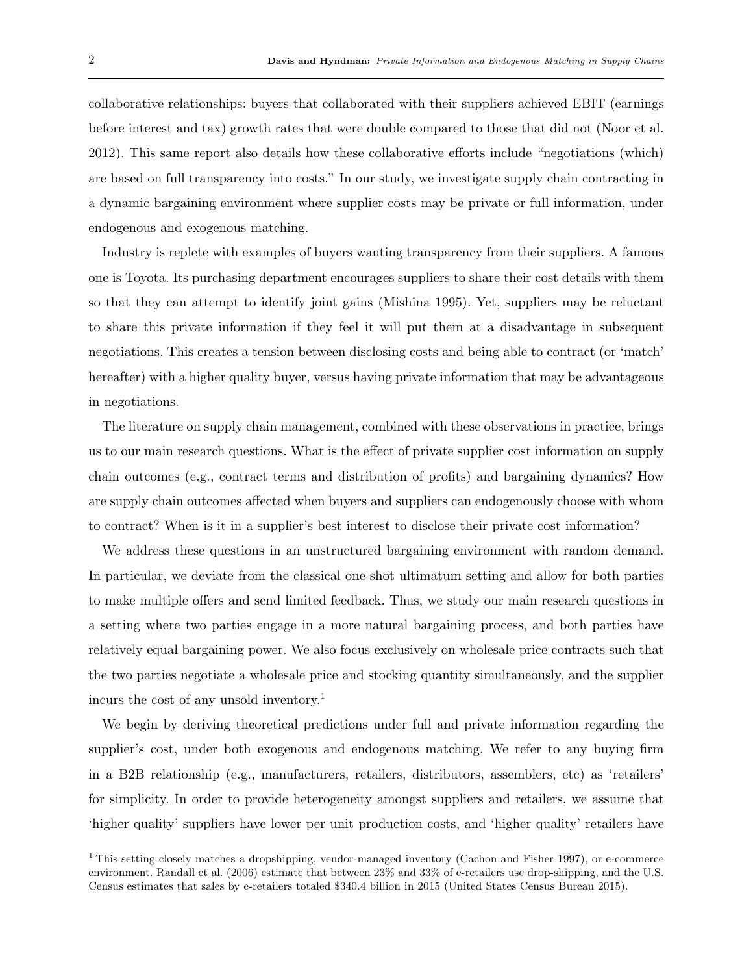collaborative relationships: buyers that collaborated with their suppliers achieved EBIT (earnings before interest and tax) growth rates that were double compared to those that did not (Noor et al. 2012). This same report also details how these collaborative efforts include "negotiations (which) are based on full transparency into costs." In our study, we investigate supply chain contracting in a dynamic bargaining environment where supplier costs may be private or full information, under endogenous and exogenous matching.

Industry is replete with examples of buyers wanting transparency from their suppliers. A famous one is Toyota. Its purchasing department encourages suppliers to share their cost details with them so that they can attempt to identify joint gains (Mishina 1995). Yet, suppliers may be reluctant to share this private information if they feel it will put them at a disadvantage in subsequent negotiations. This creates a tension between disclosing costs and being able to contract (or 'match' hereafter) with a higher quality buyer, versus having private information that may be advantageous in negotiations.

The literature on supply chain management, combined with these observations in practice, brings us to our main research questions. What is the effect of private supplier cost information on supply chain outcomes (e.g., contract terms and distribution of profits) and bargaining dynamics? How are supply chain outcomes affected when buyers and suppliers can endogenously choose with whom to contract? When is it in a supplier's best interest to disclose their private cost information?

We address these questions in an unstructured bargaining environment with random demand. In particular, we deviate from the classical one-shot ultimatum setting and allow for both parties to make multiple offers and send limited feedback. Thus, we study our main research questions in a setting where two parties engage in a more natural bargaining process, and both parties have relatively equal bargaining power. We also focus exclusively on wholesale price contracts such that the two parties negotiate a wholesale price and stocking quantity simultaneously, and the supplier incurs the cost of any unsold inventory.<sup>1</sup>

We begin by deriving theoretical predictions under full and private information regarding the supplier's cost, under both exogenous and endogenous matching. We refer to any buying firm in a B2B relationship (e.g., manufacturers, retailers, distributors, assemblers, etc) as 'retailers' for simplicity. In order to provide heterogeneity amongst suppliers and retailers, we assume that 'higher quality' suppliers have lower per unit production costs, and 'higher quality' retailers have

<sup>&</sup>lt;sup>1</sup> This setting closely matches a dropshipping, vendor-managed inventory (Cachon and Fisher 1997), or e-commerce environment. Randall et al. (2006) estimate that between 23% and 33% of e-retailers use drop-shipping, and the U.S. Census estimates that sales by e-retailers totaled \$340.4 billion in 2015 (United States Census Bureau 2015).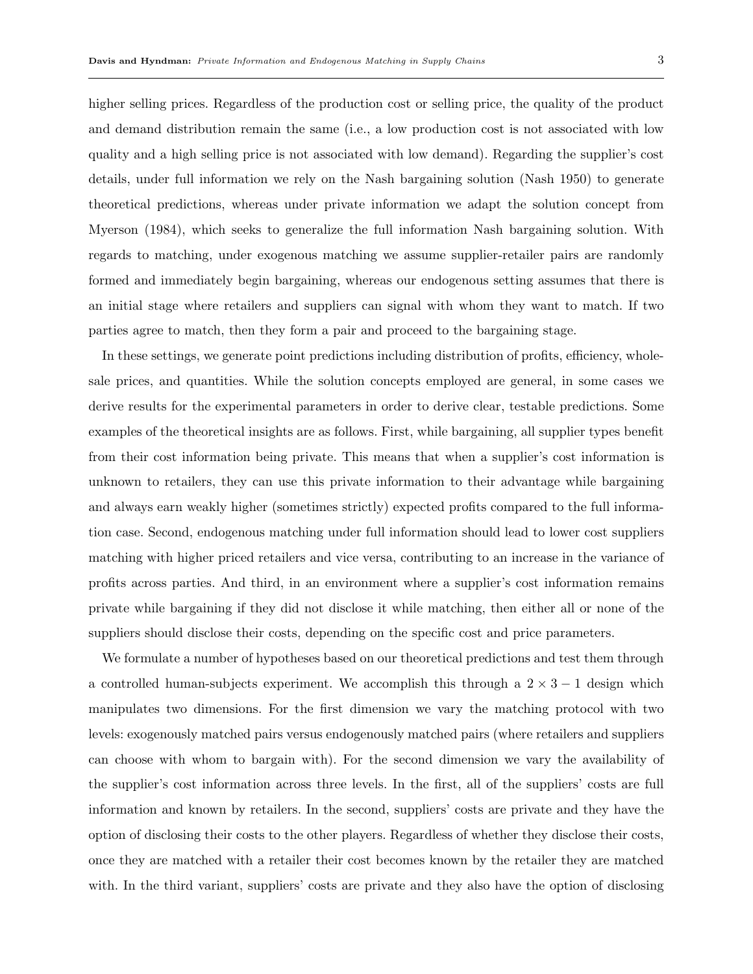higher selling prices. Regardless of the production cost or selling price, the quality of the product and demand distribution remain the same (i.e., a low production cost is not associated with low quality and a high selling price is not associated with low demand). Regarding the supplier's cost details, under full information we rely on the Nash bargaining solution (Nash 1950) to generate theoretical predictions, whereas under private information we adapt the solution concept from Myerson (1984), which seeks to generalize the full information Nash bargaining solution. With regards to matching, under exogenous matching we assume supplier-retailer pairs are randomly formed and immediately begin bargaining, whereas our endogenous setting assumes that there is an initial stage where retailers and suppliers can signal with whom they want to match. If two parties agree to match, then they form a pair and proceed to the bargaining stage.

In these settings, we generate point predictions including distribution of profits, efficiency, wholesale prices, and quantities. While the solution concepts employed are general, in some cases we derive results for the experimental parameters in order to derive clear, testable predictions. Some examples of the theoretical insights are as follows. First, while bargaining, all supplier types benefit from their cost information being private. This means that when a supplier's cost information is unknown to retailers, they can use this private information to their advantage while bargaining and always earn weakly higher (sometimes strictly) expected profits compared to the full information case. Second, endogenous matching under full information should lead to lower cost suppliers matching with higher priced retailers and vice versa, contributing to an increase in the variance of profits across parties. And third, in an environment where a supplier's cost information remains private while bargaining if they did not disclose it while matching, then either all or none of the suppliers should disclose their costs, depending on the specific cost and price parameters.

We formulate a number of hypotheses based on our theoretical predictions and test them through a controlled human-subjects experiment. We accomplish this through a  $2 \times 3 - 1$  design which manipulates two dimensions. For the first dimension we vary the matching protocol with two levels: exogenously matched pairs versus endogenously matched pairs (where retailers and suppliers can choose with whom to bargain with). For the second dimension we vary the availability of the supplier's cost information across three levels. In the first, all of the suppliers' costs are full information and known by retailers. In the second, suppliers' costs are private and they have the option of disclosing their costs to the other players. Regardless of whether they disclose their costs, once they are matched with a retailer their cost becomes known by the retailer they are matched with. In the third variant, suppliers' costs are private and they also have the option of disclosing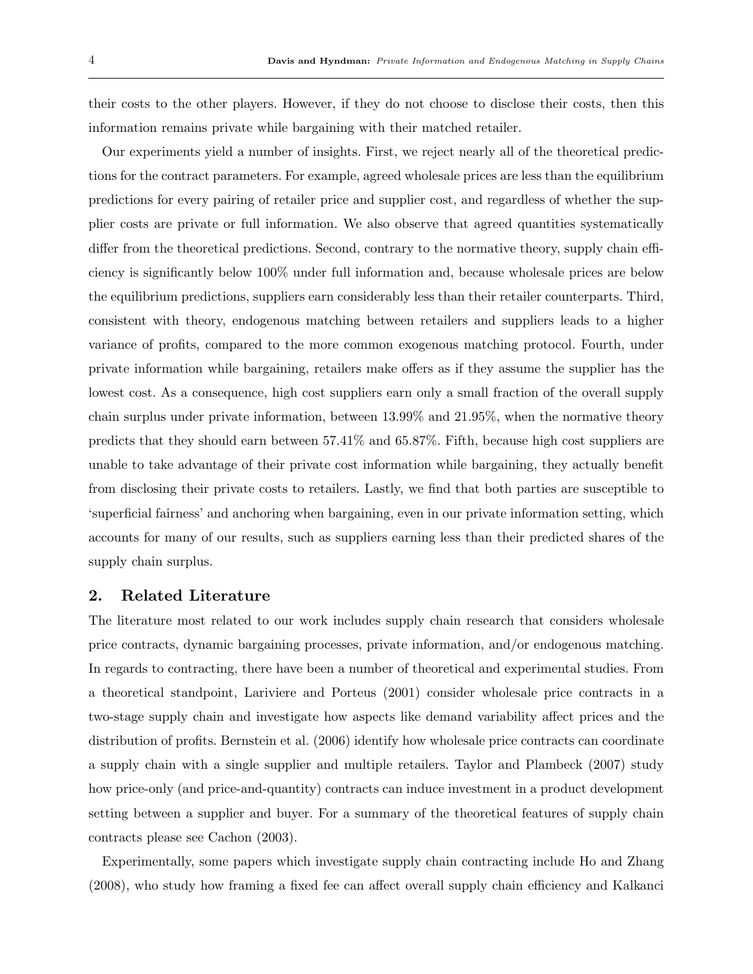their costs to the other players. However, if they do not choose to disclose their costs, then this information remains private while bargaining with their matched retailer.

Our experiments yield a number of insights. First, we reject nearly all of the theoretical predictions for the contract parameters. For example, agreed wholesale prices are less than the equilibrium predictions for every pairing of retailer price and supplier cost, and regardless of whether the supplier costs are private or full information. We also observe that agreed quantities systematically differ from the theoretical predictions. Second, contrary to the normative theory, supply chain efficiency is significantly below 100% under full information and, because wholesale prices are below the equilibrium predictions, suppliers earn considerably less than their retailer counterparts. Third, consistent with theory, endogenous matching between retailers and suppliers leads to a higher variance of profits, compared to the more common exogenous matching protocol. Fourth, under private information while bargaining, retailers make offers as if they assume the supplier has the lowest cost. As a consequence, high cost suppliers earn only a small fraction of the overall supply chain surplus under private information, between 13.99% and 21.95%, when the normative theory predicts that they should earn between 57.41% and 65.87%. Fifth, because high cost suppliers are unable to take advantage of their private cost information while bargaining, they actually benefit from disclosing their private costs to retailers. Lastly, we find that both parties are susceptible to 'superficial fairness' and anchoring when bargaining, even in our private information setting, which accounts for many of our results, such as suppliers earning less than their predicted shares of the supply chain surplus.

## 2. Related Literature

The literature most related to our work includes supply chain research that considers wholesale price contracts, dynamic bargaining processes, private information, and/or endogenous matching. In regards to contracting, there have been a number of theoretical and experimental studies. From a theoretical standpoint, Lariviere and Porteus (2001) consider wholesale price contracts in a two-stage supply chain and investigate how aspects like demand variability affect prices and the distribution of profits. Bernstein et al. (2006) identify how wholesale price contracts can coordinate a supply chain with a single supplier and multiple retailers. Taylor and Plambeck (2007) study how price-only (and price-and-quantity) contracts can induce investment in a product development setting between a supplier and buyer. For a summary of the theoretical features of supply chain contracts please see Cachon (2003).

Experimentally, some papers which investigate supply chain contracting include Ho and Zhang (2008), who study how framing a fixed fee can affect overall supply chain efficiency and Kalkanci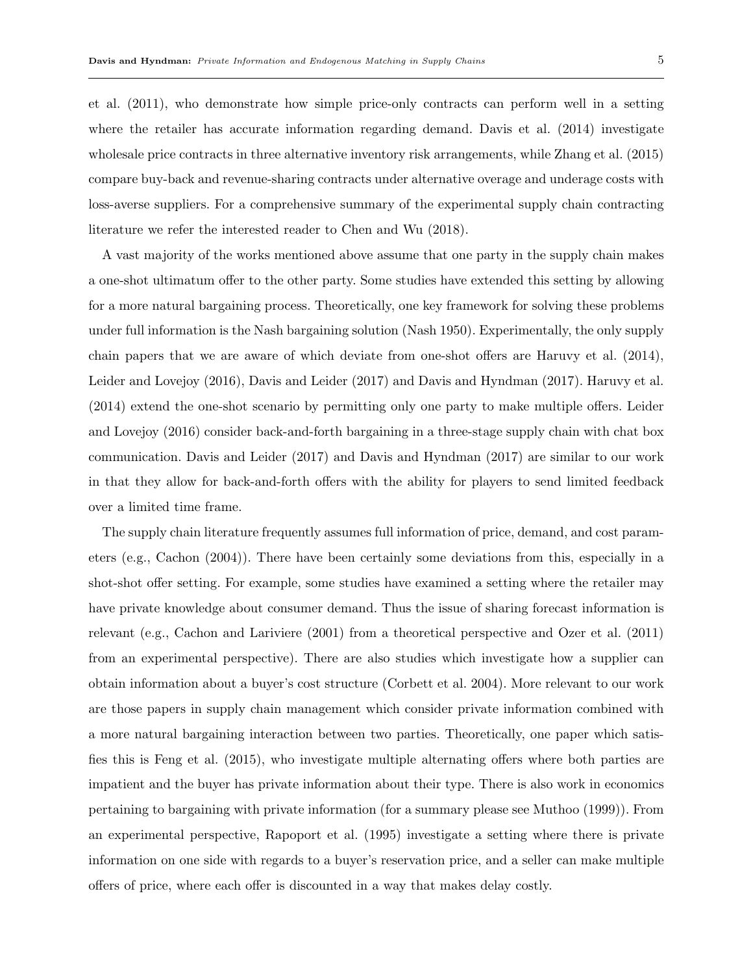et al. (2011), who demonstrate how simple price-only contracts can perform well in a setting where the retailer has accurate information regarding demand. Davis et al. (2014) investigate wholesale price contracts in three alternative inventory risk arrangements, while Zhang et al. (2015) compare buy-back and revenue-sharing contracts under alternative overage and underage costs with loss-averse suppliers. For a comprehensive summary of the experimental supply chain contracting literature we refer the interested reader to Chen and Wu (2018).

A vast majority of the works mentioned above assume that one party in the supply chain makes a one-shot ultimatum offer to the other party. Some studies have extended this setting by allowing for a more natural bargaining process. Theoretically, one key framework for solving these problems under full information is the Nash bargaining solution (Nash 1950). Experimentally, the only supply chain papers that we are aware of which deviate from one-shot offers are Haruvy et al. (2014), Leider and Lovejoy (2016), Davis and Leider (2017) and Davis and Hyndman (2017). Haruvy et al. (2014) extend the one-shot scenario by permitting only one party to make multiple offers. Leider and Lovejoy (2016) consider back-and-forth bargaining in a three-stage supply chain with chat box communication. Davis and Leider (2017) and Davis and Hyndman (2017) are similar to our work in that they allow for back-and-forth offers with the ability for players to send limited feedback over a limited time frame.

The supply chain literature frequently assumes full information of price, demand, and cost parameters (e.g., Cachon (2004)). There have been certainly some deviations from this, especially in a shot-shot offer setting. For example, some studies have examined a setting where the retailer may have private knowledge about consumer demand. Thus the issue of sharing forecast information is relevant (e.g., Cachon and Lariviere (2001) from a theoretical perspective and Ozer et al. (2011) from an experimental perspective). There are also studies which investigate how a supplier can obtain information about a buyer's cost structure (Corbett et al. 2004). More relevant to our work are those papers in supply chain management which consider private information combined with a more natural bargaining interaction between two parties. Theoretically, one paper which satisfies this is Feng et al. (2015), who investigate multiple alternating offers where both parties are impatient and the buyer has private information about their type. There is also work in economics pertaining to bargaining with private information (for a summary please see Muthoo (1999)). From an experimental perspective, Rapoport et al. (1995) investigate a setting where there is private information on one side with regards to a buyer's reservation price, and a seller can make multiple offers of price, where each offer is discounted in a way that makes delay costly.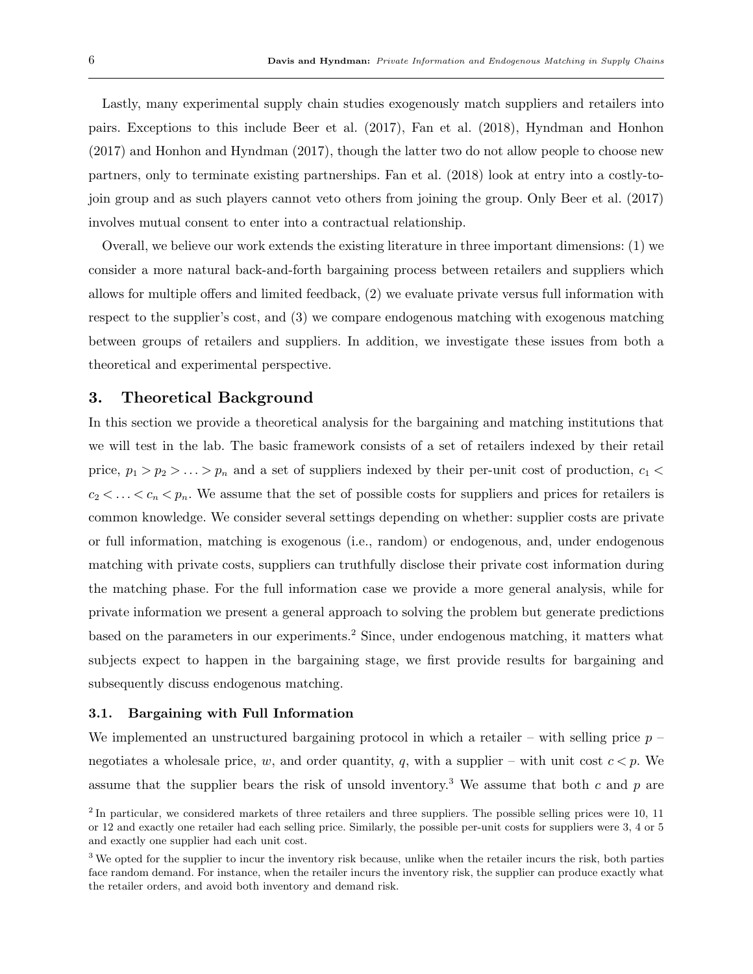Lastly, many experimental supply chain studies exogenously match suppliers and retailers into pairs. Exceptions to this include Beer et al. (2017), Fan et al. (2018), Hyndman and Honhon (2017) and Honhon and Hyndman (2017), though the latter two do not allow people to choose new partners, only to terminate existing partnerships. Fan et al. (2018) look at entry into a costly-tojoin group and as such players cannot veto others from joining the group. Only Beer et al. (2017) involves mutual consent to enter into a contractual relationship.

Overall, we believe our work extends the existing literature in three important dimensions: (1) we consider a more natural back-and-forth bargaining process between retailers and suppliers which allows for multiple offers and limited feedback, (2) we evaluate private versus full information with respect to the supplier's cost, and (3) we compare endogenous matching with exogenous matching between groups of retailers and suppliers. In addition, we investigate these issues from both a theoretical and experimental perspective.

# 3. Theoretical Background

In this section we provide a theoretical analysis for the bargaining and matching institutions that we will test in the lab. The basic framework consists of a set of retailers indexed by their retail price,  $p_1 > p_2 > \ldots > p_n$  and a set of suppliers indexed by their per-unit cost of production,  $c_1 <$  $c_2 < \ldots < c_n < p_n$ . We assume that the set of possible costs for suppliers and prices for retailers is common knowledge. We consider several settings depending on whether: supplier costs are private or full information, matching is exogenous (i.e., random) or endogenous, and, under endogenous matching with private costs, suppliers can truthfully disclose their private cost information during the matching phase. For the full information case we provide a more general analysis, while for private information we present a general approach to solving the problem but generate predictions based on the parameters in our experiments.<sup>2</sup> Since, under endogenous matching, it matters what subjects expect to happen in the bargaining stage, we first provide results for bargaining and subsequently discuss endogenous matching.

#### 3.1. Bargaining with Full Information

We implemented an unstructured bargaining protocol in which a retailer – with selling price  $p$ negotiates a wholesale price, w, and order quantity, q, with a supplier – with unit cost  $c < p$ . We assume that the supplier bears the risk of unsold inventory.<sup>3</sup> We assume that both c and p are

<sup>&</sup>lt;sup>2</sup> In particular, we considered markets of three retailers and three suppliers. The possible selling prices were 10, 11 or 12 and exactly one retailer had each selling price. Similarly, the possible per-unit costs for suppliers were 3, 4 or 5 and exactly one supplier had each unit cost.

<sup>&</sup>lt;sup>3</sup> We opted for the supplier to incur the inventory risk because, unlike when the retailer incurs the risk, both parties face random demand. For instance, when the retailer incurs the inventory risk, the supplier can produce exactly what the retailer orders, and avoid both inventory and demand risk.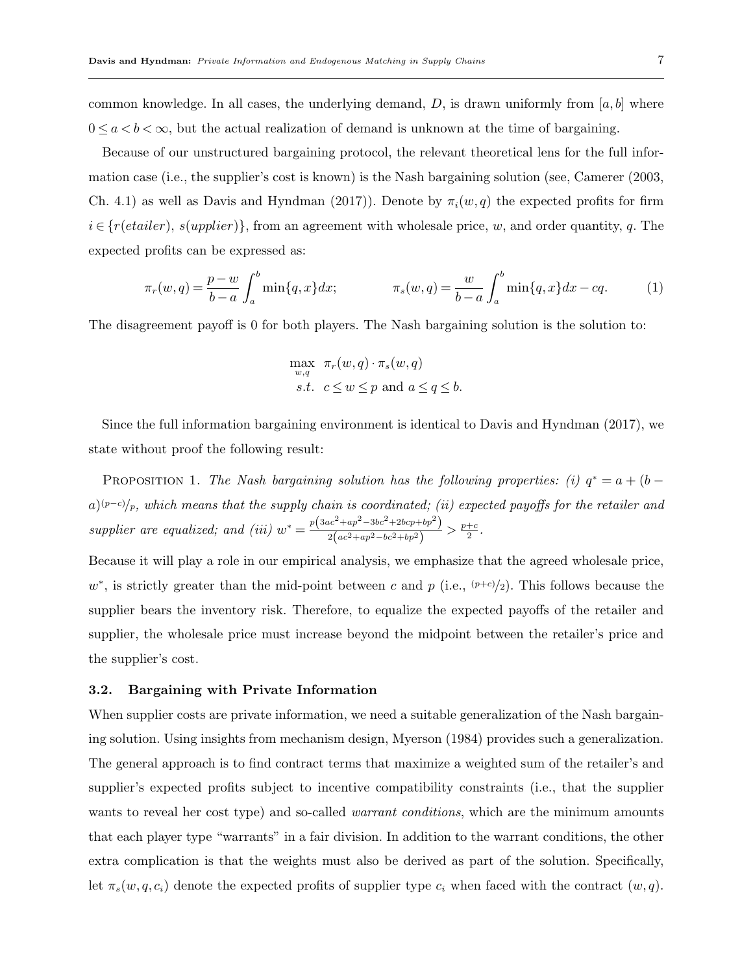common knowledge. In all cases, the underlying demand, D, is drawn uniformly from [a, b] where  $0 \leq a < b < \infty$ , but the actual realization of demand is unknown at the time of bargaining.

Because of our unstructured bargaining protocol, the relevant theoretical lens for the full information case (i.e., the supplier's cost is known) is the Nash bargaining solution (see, Camerer (2003, Ch. 4.1) as well as Davis and Hyndman (2017)). Denote by  $\pi_i(w, q)$  the expected profits for firm  $i \in \{r(etailer), s(upplier)\}\$ , from an agreement with wholesale price, w, and order quantity, q. The expected profits can be expressed as:

$$
\pi_r(w,q) = \frac{p-w}{b-a} \int_a^b \min\{q, x\} dx; \qquad \pi_s(w,q) = \frac{w}{b-a} \int_a^b \min\{q, x\} dx - cq. \tag{1}
$$

The disagreement payoff is 0 for both players. The Nash bargaining solution is the solution to:

$$
\max_{w,q} \pi_r(w,q) \cdot \pi_s(w,q)
$$
  
s.t.  $c \le w \le p$  and  $a \le q \le b$ .

Since the full information bargaining environment is identical to Davis and Hyndman (2017), we state without proof the following result:

PROPOSITION 1. The Nash bargaining solution has the following properties: (i)  $q^* = a + (b - b)^2$  $a)^{(p-c)}/p$ , which means that the supply chain is coordinated; (ii) expected payoffs for the retailer and supplier are equalized; and (iii)  $w^* = \frac{p(3ac^2 + ap^2 - 3bc^2 + 2bcp + bp^2)}{2(a^2 + a^2 + b^2 + b^2)}$  $\frac{ac^2+ap^2-3bc^2+2bcp+bp^2)}{2(ac^2+ap^2-bc^2+bp^2)} > \frac{p+c}{2}$  $\frac{+c}{2}$  .

Because it will play a role in our empirical analysis, we emphasize that the agreed wholesale price,  $w^*$ , is strictly greater than the mid-point between c and p (i.e.,  $(p+c)/2$ ). This follows because the supplier bears the inventory risk. Therefore, to equalize the expected payoffs of the retailer and supplier, the wholesale price must increase beyond the midpoint between the retailer's price and the supplier's cost.

#### 3.2. Bargaining with Private Information

When supplier costs are private information, we need a suitable generalization of the Nash bargaining solution. Using insights from mechanism design, Myerson (1984) provides such a generalization. The general approach is to find contract terms that maximize a weighted sum of the retailer's and supplier's expected profits subject to incentive compatibility constraints (i.e., that the supplier wants to reveal her cost type) and so-called *warrant conditions*, which are the minimum amounts that each player type "warrants" in a fair division. In addition to the warrant conditions, the other extra complication is that the weights must also be derived as part of the solution. Specifically, let  $\pi_s(w, q, c_i)$  denote the expected profits of supplier type  $c_i$  when faced with the contract  $(w, q)$ .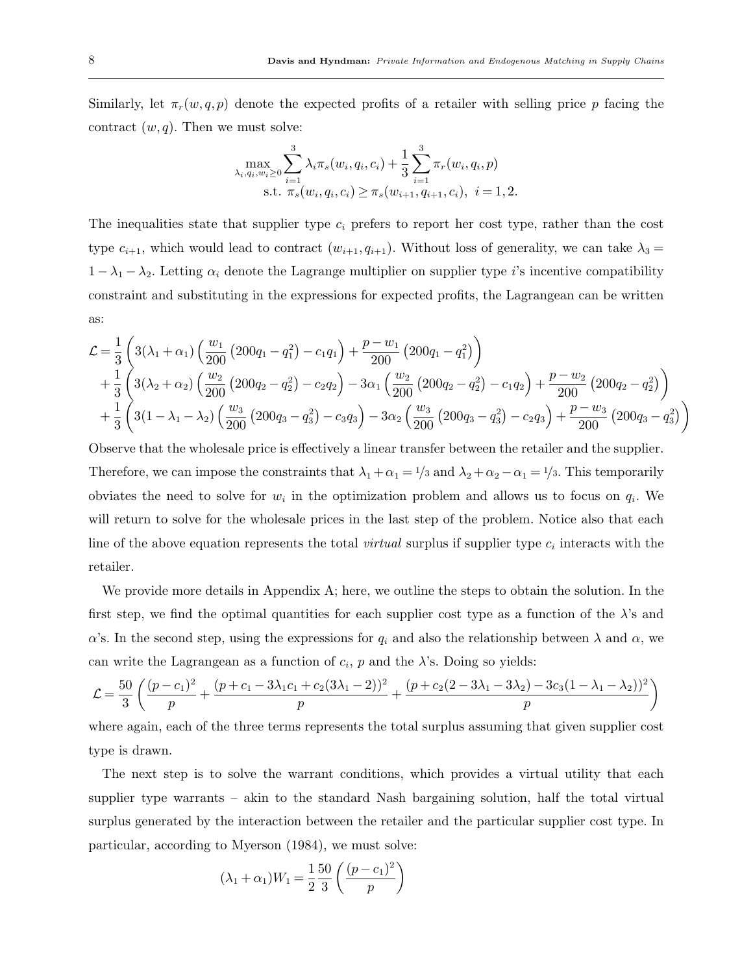Similarly, let  $\pi_r(w, q, p)$  denote the expected profits of a retailer with selling price p facing the contract  $(w, q)$ . Then we must solve:

$$
\max_{\lambda_i, q_i, w_i \ge 0} \sum_{i=1}^3 \lambda_i \pi_s(w_i, q_i, c_i) + \frac{1}{3} \sum_{i=1}^3 \pi_r(w_i, q_i, p)
$$
  
s.t.  $\pi_s(w_i, q_i, c_i) \ge \pi_s(w_{i+1}, q_{i+1}, c_i), \ i = 1, 2.$ 

The inequalities state that supplier type  $c_i$  prefers to report her cost type, rather than the cost type  $c_{i+1}$ , which would lead to contract  $(w_{i+1}, q_{i+1})$ . Without loss of generality, we can take  $\lambda_3 =$  $1 - \lambda_1 - \lambda_2$ . Letting  $\alpha_i$  denote the Lagrange multiplier on supplier type i's incentive compatibility constraint and substituting in the expressions for expected profits, the Lagrangean can be written as:

$$
\mathcal{L} = \frac{1}{3} \left( 3(\lambda_1 + \alpha_1) \left( \frac{w_1}{200} \left( 200q_1 - q_1^2 \right) - c_1 q_1 \right) + \frac{p - w_1}{200} \left( 200q_1 - q_1^2 \right) \right) \n+ \frac{1}{3} \left( 3(\lambda_2 + \alpha_2) \left( \frac{w_2}{200} \left( 200q_2 - q_2^2 \right) - c_2 q_2 \right) - 3\alpha_1 \left( \frac{w_2}{200} \left( 200q_2 - q_2^2 \right) - c_1 q_2 \right) + \frac{p - w_2}{200} \left( 200q_2 - q_2^2 \right) \right) \n+ \frac{1}{3} \left( 3(1 - \lambda_1 - \lambda_2) \left( \frac{w_3}{200} \left( 200q_3 - q_3^2 \right) - c_3 q_3 \right) - 3\alpha_2 \left( \frac{w_3}{200} \left( 200q_3 - q_3^2 \right) - c_2 q_3 \right) + \frac{p - w_3}{200} \left( 200q_3 - q_3^2 \right) \right)
$$

Observe that the wholesale price is effectively a linear transfer between the retailer and the supplier. Therefore, we can impose the constraints that  $\lambda_1 + \alpha_1 = 1/3$  and  $\lambda_2 + \alpha_2 - \alpha_1 = 1/3$ . This temporarily obviates the need to solve for  $w_i$  in the optimization problem and allows us to focus on  $q_i$ . We will return to solve for the wholesale prices in the last step of the problem. Notice also that each line of the above equation represents the total *virtual* surplus if supplier type  $c_i$  interacts with the retailer.

We provide more details in Appendix A; here, we outline the steps to obtain the solution. In the first step, we find the optimal quantities for each supplier cost type as a function of the  $\lambda$ 's and α's. In the second step, using the expressions for  $q_i$  and also the relationship between  $\lambda$  and  $\alpha$ , we can write the Lagrangean as a function of  $c_i$ ,  $p$  and the  $\lambda$ 's. Doing so yields:

$$
\mathcal{L} = \frac{50}{3} \left( \frac{(p - c_1)^2}{p} + \frac{(p + c_1 - 3\lambda_1 c_1 + c_2 (3\lambda_1 - 2))^2}{p} + \frac{(p + c_2 (2 - 3\lambda_1 - 3\lambda_2) - 3c_3 (1 - \lambda_1 - \lambda_2))^2}{p} \right)
$$

where again, each of the three terms represents the total surplus assuming that given supplier cost type is drawn.

The next step is to solve the warrant conditions, which provides a virtual utility that each supplier type warrants – akin to the standard Nash bargaining solution, half the total virtual surplus generated by the interaction between the retailer and the particular supplier cost type. In particular, according to Myerson (1984), we must solve:

$$
(\lambda_1 + \alpha_1)W_1 = \frac{1}{2} \frac{50}{3} \left( \frac{(p - c_1)^2}{p} \right)
$$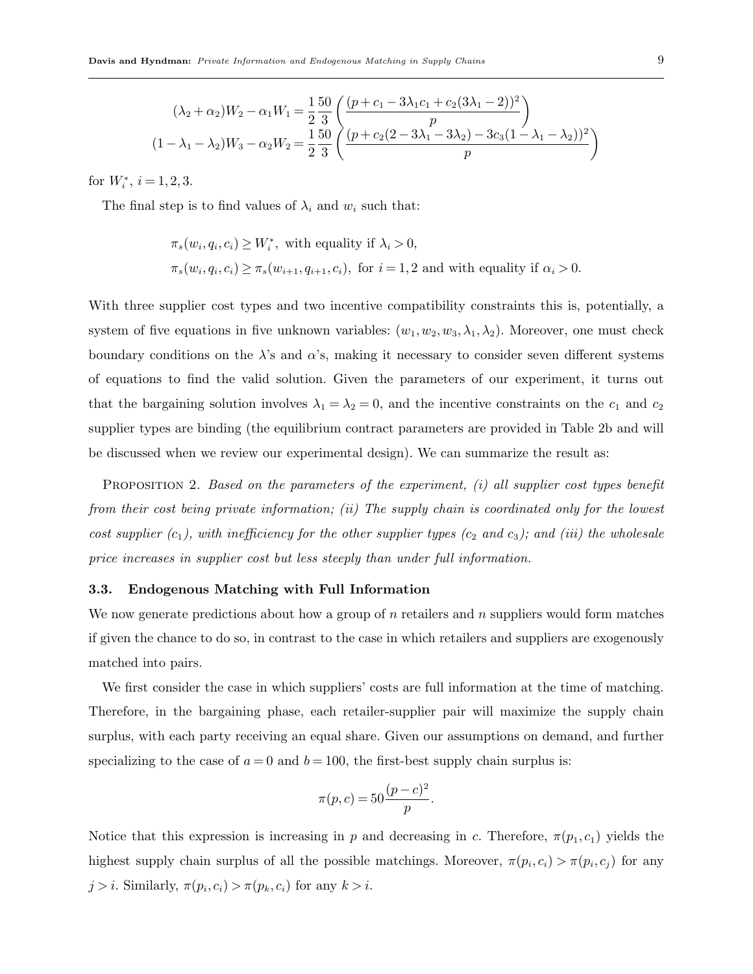$$
(\lambda_2 + \alpha_2)W_2 - \alpha_1 W_1 = \frac{1}{2} \frac{50}{3} \left( \frac{(p+c_1 - 3\lambda_1 c_1 + c_2(3\lambda_1 - 2))^2}{p} \right)
$$
  

$$
(1 - \lambda_1 - \lambda_2)W_3 - \alpha_2 W_2 = \frac{1}{2} \frac{50}{3} \left( \frac{(p+c_2(2 - 3\lambda_1 - 3\lambda_2) - 3c_3(1 - \lambda_1 - \lambda_2))^2}{p} \right)
$$

for  $W_i^*, i = 1, 2, 3$ .

The final step is to find values of  $\lambda_i$  and  $w_i$  such that:

$$
\pi_s(w_i, q_i, c_i) \ge W_i^*,
$$
 with equality if  $\lambda_i > 0$ ,  

$$
\pi_s(w_i, q_i, c_i) \ge \pi_s(w_{i+1}, q_{i+1}, c_i)
$$
, for  $i = 1, 2$  and with equality if  $\alpha_i > 0$ .

With three supplier cost types and two incentive compatibility constraints this is, potentially, a system of five equations in five unknown variables:  $(w_1, w_2, w_3, \lambda_1, \lambda_2)$ . Moreover, one must check boundary conditions on the  $\lambda$ 's and  $\alpha$ 's, making it necessary to consider seven different systems of equations to find the valid solution. Given the parameters of our experiment, it turns out that the bargaining solution involves  $\lambda_1 = \lambda_2 = 0$ , and the incentive constraints on the  $c_1$  and  $c_2$ supplier types are binding (the equilibrium contract parameters are provided in Table 2b and will be discussed when we review our experimental design). We can summarize the result as:

PROPOSITION 2. Based on the parameters of the experiment,  $(i)$  all supplier cost types benefit from their cost being private information; (ii) The supply chain is coordinated only for the lowest cost supplier  $(c_1)$ , with inefficiency for the other supplier types  $(c_2 \text{ and } c_3)$ ; and (iii) the wholesale price increases in supplier cost but less steeply than under full information.

#### 3.3. Endogenous Matching with Full Information

We now generate predictions about how a group of  $n$  retailers and  $n$  suppliers would form matches if given the chance to do so, in contrast to the case in which retailers and suppliers are exogenously matched into pairs.

We first consider the case in which suppliers' costs are full information at the time of matching. Therefore, in the bargaining phase, each retailer-supplier pair will maximize the supply chain surplus, with each party receiving an equal share. Given our assumptions on demand, and further specializing to the case of  $a = 0$  and  $b = 100$ , the first-best supply chain surplus is:

$$
\pi(p, c) = 50 \frac{(p - c)^2}{p}.
$$

Notice that this expression is increasing in p and decreasing in c. Therefore,  $\pi(p_1, c_1)$  yields the highest supply chain surplus of all the possible matchings. Moreover,  $\pi(p_i, c_i) > \pi(p_i, c_j)$  for any  $j > i$ . Similarly,  $\pi(p_i, c_i) > \pi(p_k, c_i)$  for any  $k > i$ .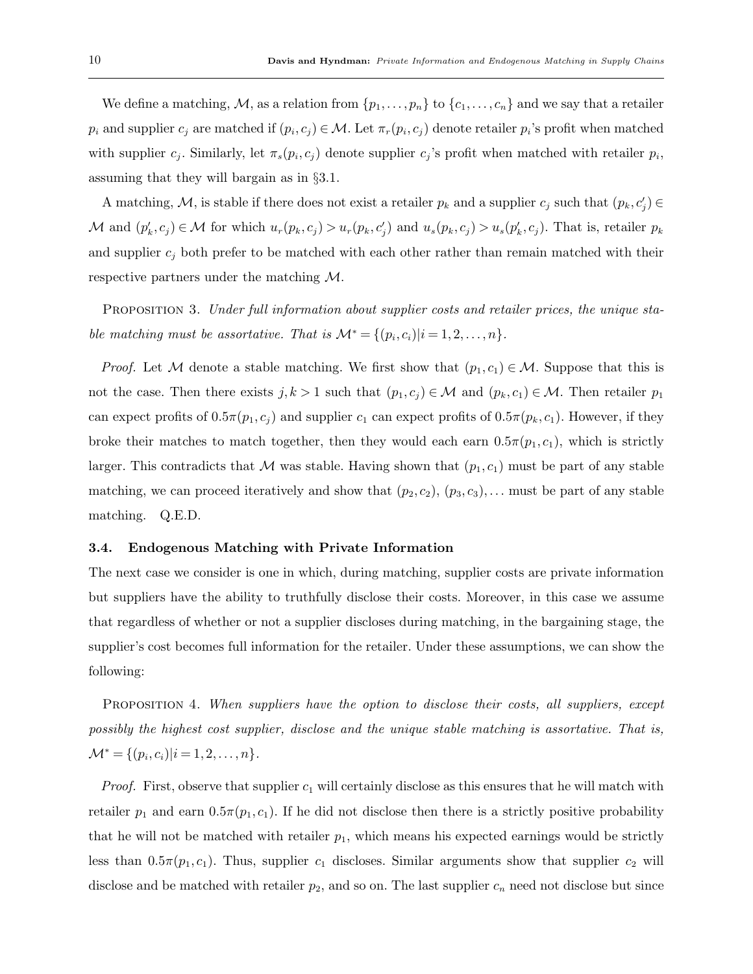We define a matching, M, as a relation from  $\{p_1,\ldots,p_n\}$  to  $\{c_1,\ldots,c_n\}$  and we say that a retailer  $p_i$  and supplier  $c_j$  are matched if  $(p_i, c_j) \in \mathcal{M}$ . Let  $\pi_r(p_i, c_j)$  denote retailer  $p_i$ 's profit when matched with supplier  $c_j$ . Similarly, let  $\pi_s(p_i, c_j)$  denote supplier  $c_j$ 's profit when matched with retailer  $p_i$ , assuming that they will bargain as in §3.1.

A matching, M, is stable if there does not exist a retailer  $p_k$  and a supplier  $c_j$  such that  $(p_k, c'_j) \in$ M and  $(p'_k, c_j) \in \mathcal{M}$  for which  $u_r(p_k, c_j) > u_r(p_k, c_j)$  and  $u_s(p_k, c_j) > u_s(p'_k, c_j)$ . That is, retailer  $p_k$ and supplier  $c_i$  both prefer to be matched with each other rather than remain matched with their respective partners under the matching M.

PROPOSITION 3. Under full information about supplier costs and retailer prices, the unique stable matching must be assortative. That is  $\mathcal{M}^* = \{(p_i, c_i)|i = 1, 2, \ldots, n\}.$ 

*Proof.* Let M denote a stable matching. We first show that  $(p_1, c_1) \in M$ . Suppose that this is not the case. Then there exists  $j, k > 1$  such that  $(p_1, c_j) \in \mathcal{M}$  and  $(p_k, c_1) \in \mathcal{M}$ . Then retailer  $p_1$ can expect profits of  $0.5\pi(p_1, c_j)$  and supplier  $c_1$  can expect profits of  $0.5\pi(p_k, c_1)$ . However, if they broke their matches to match together, then they would each earn  $0.5\pi(p_1, c_1)$ , which is strictly larger. This contradicts that M was stable. Having shown that  $(p_1, c_1)$  must be part of any stable matching, we can proceed iteratively and show that  $(p_2, c_2), (p_3, c_3), \ldots$  must be part of any stable matching. Q.E.D.

## 3.4. Endogenous Matching with Private Information

The next case we consider is one in which, during matching, supplier costs are private information but suppliers have the ability to truthfully disclose their costs. Moreover, in this case we assume that regardless of whether or not a supplier discloses during matching, in the bargaining stage, the supplier's cost becomes full information for the retailer. Under these assumptions, we can show the following:

PROPOSITION 4. When suppliers have the option to disclose their costs, all suppliers, except possibly the highest cost supplier, disclose and the unique stable matching is assortative. That is,  $\mathcal{M}^* = \{ (p_i, c_i) | i = 1, 2, \dots, n \}.$ 

*Proof.* First, observe that supplier  $c_1$  will certainly disclose as this ensures that he will match with retailer  $p_1$  and earn  $0.5\pi(p_1, c_1)$ . If he did not disclose then there is a strictly positive probability that he will not be matched with retailer  $p_1$ , which means his expected earnings would be strictly less than  $0.5\pi(p_1, c_1)$ . Thus, supplier  $c_1$  discloses. Similar arguments show that supplier  $c_2$  will disclose and be matched with retailer  $p_2$ , and so on. The last supplier  $c_n$  need not disclose but since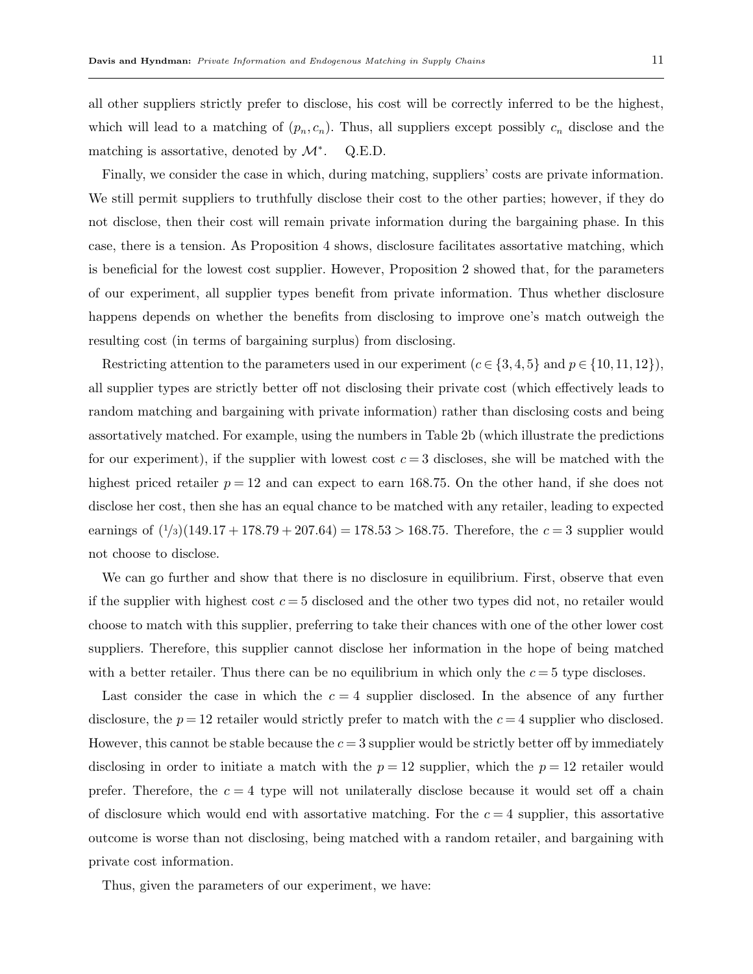all other suppliers strictly prefer to disclose, his cost will be correctly inferred to be the highest, which will lead to a matching of  $(p_n, c_n)$ . Thus, all suppliers except possibly  $c_n$  disclose and the matching is assortative, denoted by  $\mathcal{M}^*$ . . Q.E.D.

Finally, we consider the case in which, during matching, suppliers' costs are private information. We still permit suppliers to truthfully disclose their cost to the other parties; however, if they do not disclose, then their cost will remain private information during the bargaining phase. In this case, there is a tension. As Proposition 4 shows, disclosure facilitates assortative matching, which is beneficial for the lowest cost supplier. However, Proposition 2 showed that, for the parameters of our experiment, all supplier types benefit from private information. Thus whether disclosure happens depends on whether the benefits from disclosing to improve one's match outweigh the resulting cost (in terms of bargaining surplus) from disclosing.

Restricting attention to the parameters used in our experiment ( $c \in \{3, 4, 5\}$  and  $p \in \{10, 11, 12\}$ ), all supplier types are strictly better off not disclosing their private cost (which effectively leads to random matching and bargaining with private information) rather than disclosing costs and being assortatively matched. For example, using the numbers in Table 2b (which illustrate the predictions for our experiment), if the supplier with lowest cost  $c = 3$  discloses, she will be matched with the highest priced retailer  $p = 12$  and can expect to earn 168.75. On the other hand, if she does not disclose her cost, then she has an equal chance to be matched with any retailer, leading to expected earnings of  $(1/3)(149.17 + 178.79 + 207.64) = 178.53 > 168.75$ . Therefore, the  $c = 3$  supplier would not choose to disclose.

We can go further and show that there is no disclosure in equilibrium. First, observe that even if the supplier with highest cost  $c = 5$  disclosed and the other two types did not, no retailer would choose to match with this supplier, preferring to take their chances with one of the other lower cost suppliers. Therefore, this supplier cannot disclose her information in the hope of being matched with a better retailer. Thus there can be no equilibrium in which only the  $c = 5$  type discloses.

Last consider the case in which the  $c = 4$  supplier disclosed. In the absence of any further disclosure, the  $p = 12$  retailer would strictly prefer to match with the  $c = 4$  supplier who disclosed. However, this cannot be stable because the  $c = 3$  supplier would be strictly better off by immediately disclosing in order to initiate a match with the  $p = 12$  supplier, which the  $p = 12$  retailer would prefer. Therefore, the  $c = 4$  type will not unilaterally disclose because it would set off a chain of disclosure which would end with assortative matching. For the  $c = 4$  supplier, this assortative outcome is worse than not disclosing, being matched with a random retailer, and bargaining with private cost information.

Thus, given the parameters of our experiment, we have: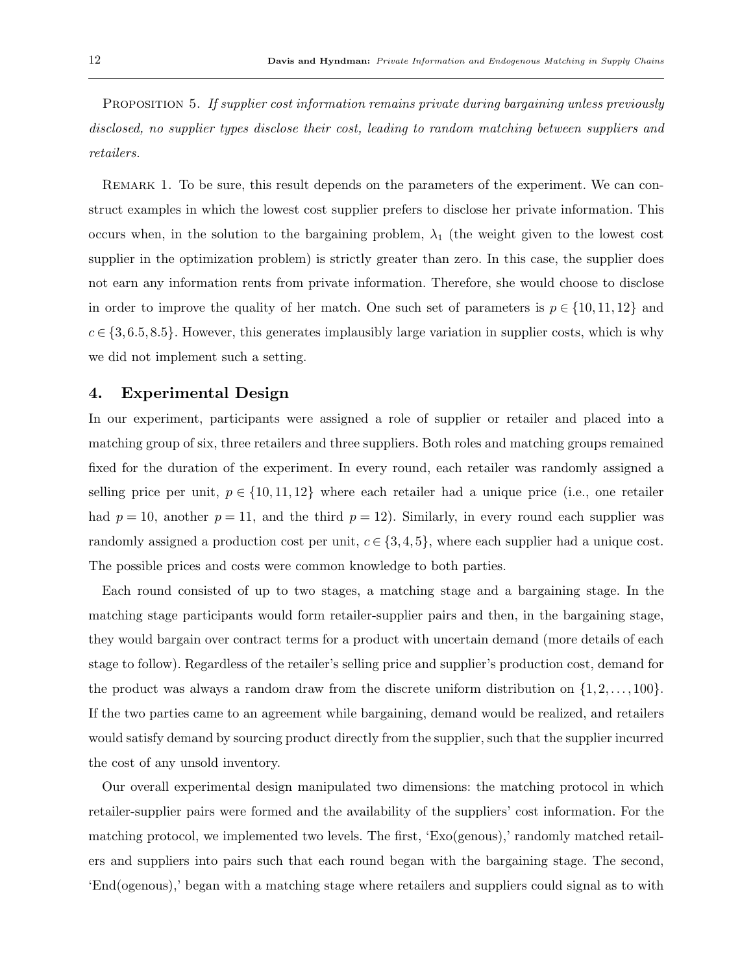PROPOSITION 5. If supplier cost information remains private during bargaining unless previously disclosed, no supplier types disclose their cost, leading to random matching between suppliers and retailers.

REMARK 1. To be sure, this result depends on the parameters of the experiment. We can construct examples in which the lowest cost supplier prefers to disclose her private information. This occurs when, in the solution to the bargaining problem,  $\lambda_1$  (the weight given to the lowest cost supplier in the optimization problem) is strictly greater than zero. In this case, the supplier does not earn any information rents from private information. Therefore, she would choose to disclose in order to improve the quality of her match. One such set of parameters is  $p \in \{10, 11, 12\}$  and  $c \in \{3, 6.5, 8.5\}$ . However, this generates implausibly large variation in supplier costs, which is why we did not implement such a setting.

# 4. Experimental Design

In our experiment, participants were assigned a role of supplier or retailer and placed into a matching group of six, three retailers and three suppliers. Both roles and matching groups remained fixed for the duration of the experiment. In every round, each retailer was randomly assigned a selling price per unit,  $p \in \{10, 11, 12\}$  where each retailer had a unique price (i.e., one retailer had  $p = 10$ , another  $p = 11$ , and the third  $p = 12$ ). Similarly, in every round each supplier was randomly assigned a production cost per unit,  $c \in \{3, 4, 5\}$ , where each supplier had a unique cost. The possible prices and costs were common knowledge to both parties.

Each round consisted of up to two stages, a matching stage and a bargaining stage. In the matching stage participants would form retailer-supplier pairs and then, in the bargaining stage, they would bargain over contract terms for a product with uncertain demand (more details of each stage to follow). Regardless of the retailer's selling price and supplier's production cost, demand for the product was always a random draw from the discrete uniform distribution on  $\{1, 2, \ldots, 100\}$ . If the two parties came to an agreement while bargaining, demand would be realized, and retailers would satisfy demand by sourcing product directly from the supplier, such that the supplier incurred the cost of any unsold inventory.

Our overall experimental design manipulated two dimensions: the matching protocol in which retailer-supplier pairs were formed and the availability of the suppliers' cost information. For the matching protocol, we implemented two levels. The first, 'Exo(genous),' randomly matched retailers and suppliers into pairs such that each round began with the bargaining stage. The second, 'End(ogenous),' began with a matching stage where retailers and suppliers could signal as to with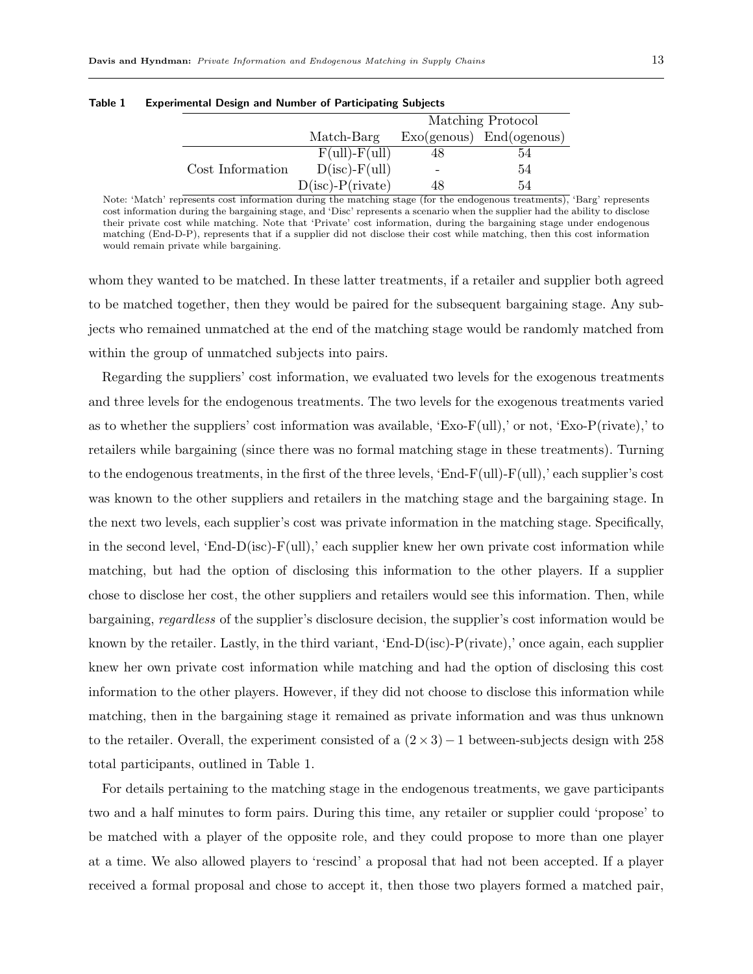|                  |                        |    | Matching Protocol            |
|------------------|------------------------|----|------------------------------|
|                  | Match-Barg             |    | $Exo(genous)$ $End(ogenous)$ |
|                  | $F(ull) - F(ull)$      |    | 54                           |
| Cost Information | $D(isc)$ - $F(ull)$    |    | 54                           |
|                  | $D(isc)$ - $P(rivate)$ | 48 | 54                           |

Table 1 Experimental Design and Number of Participating Subjects

Note: 'Match' represents cost information during the matching stage (for the endogenous treatments), 'Barg' represents cost information during the bargaining stage, and 'Disc' represents a scenario when the supplier had the ability to disclose their private cost while matching. Note that 'Private' cost information, during the bargaining stage under endogenous matching (End-D-P), represents that if a supplier did not disclose their cost while matching, then this cost information would remain private while bargaining.

whom they wanted to be matched. In these latter treatments, if a retailer and supplier both agreed to be matched together, then they would be paired for the subsequent bargaining stage. Any subjects who remained unmatched at the end of the matching stage would be randomly matched from within the group of unmatched subjects into pairs.

Regarding the suppliers' cost information, we evaluated two levels for the exogenous treatments and three levels for the endogenous treatments. The two levels for the exogenous treatments varied as to whether the suppliers' cost information was available, 'Exo-F(ull),' or not, 'Exo-P(rivate),' to retailers while bargaining (since there was no formal matching stage in these treatments). Turning to the endogenous treatments, in the first of the three levels, 'End-F(ull)- $F(ull)$ ,' each supplier's cost was known to the other suppliers and retailers in the matching stage and the bargaining stage. In the next two levels, each supplier's cost was private information in the matching stage. Specifically, in the second level, 'End-D(isc)-F(ull),' each supplier knew her own private cost information while matching, but had the option of disclosing this information to the other players. If a supplier chose to disclose her cost, the other suppliers and retailers would see this information. Then, while bargaining, regardless of the supplier's disclosure decision, the supplier's cost information would be known by the retailer. Lastly, in the third variant, 'End- $D(isc)$ -P(rivate),' once again, each supplier knew her own private cost information while matching and had the option of disclosing this cost information to the other players. However, if they did not choose to disclose this information while matching, then in the bargaining stage it remained as private information and was thus unknown to the retailer. Overall, the experiment consisted of a  $(2 \times 3)-1$  between-subjects design with 258 total participants, outlined in Table 1.

For details pertaining to the matching stage in the endogenous treatments, we gave participants two and a half minutes to form pairs. During this time, any retailer or supplier could 'propose' to be matched with a player of the opposite role, and they could propose to more than one player at a time. We also allowed players to 'rescind' a proposal that had not been accepted. If a player received a formal proposal and chose to accept it, then those two players formed a matched pair,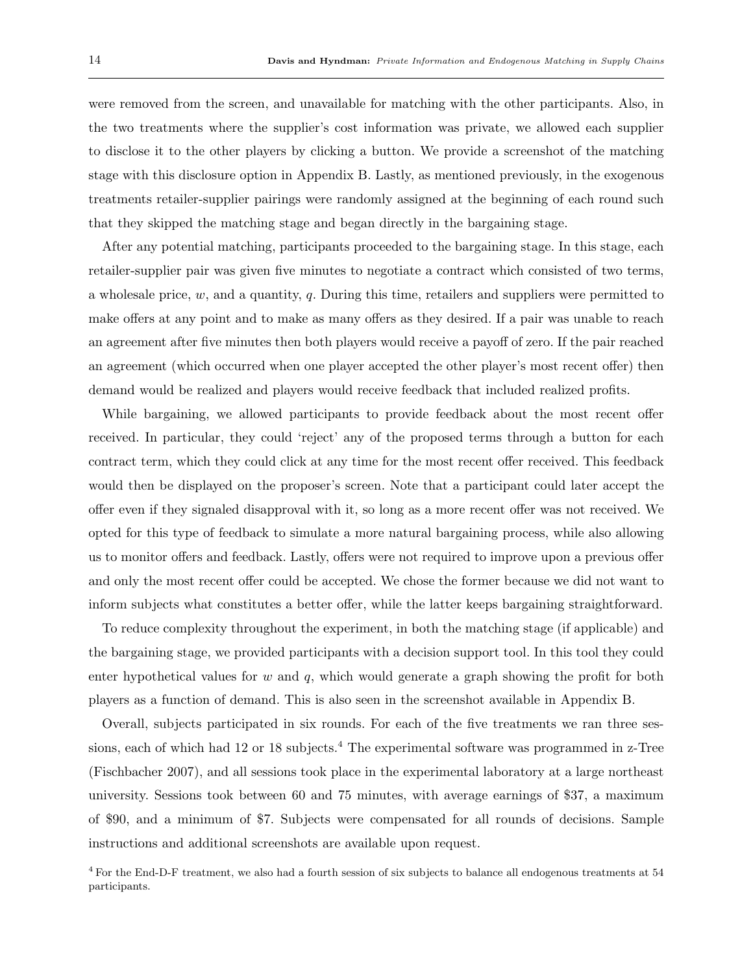were removed from the screen, and unavailable for matching with the other participants. Also, in the two treatments where the supplier's cost information was private, we allowed each supplier to disclose it to the other players by clicking a button. We provide a screenshot of the matching stage with this disclosure option in Appendix B. Lastly, as mentioned previously, in the exogenous treatments retailer-supplier pairings were randomly assigned at the beginning of each round such that they skipped the matching stage and began directly in the bargaining stage.

After any potential matching, participants proceeded to the bargaining stage. In this stage, each retailer-supplier pair was given five minutes to negotiate a contract which consisted of two terms, a wholesale price,  $w$ , and a quantity,  $q$ . During this time, retailers and suppliers were permitted to make offers at any point and to make as many offers as they desired. If a pair was unable to reach an agreement after five minutes then both players would receive a payoff of zero. If the pair reached an agreement (which occurred when one player accepted the other player's most recent offer) then demand would be realized and players would receive feedback that included realized profits.

While bargaining, we allowed participants to provide feedback about the most recent offer received. In particular, they could 'reject' any of the proposed terms through a button for each contract term, which they could click at any time for the most recent offer received. This feedback would then be displayed on the proposer's screen. Note that a participant could later accept the offer even if they signaled disapproval with it, so long as a more recent offer was not received. We opted for this type of feedback to simulate a more natural bargaining process, while also allowing us to monitor offers and feedback. Lastly, offers were not required to improve upon a previous offer and only the most recent offer could be accepted. We chose the former because we did not want to inform subjects what constitutes a better offer, while the latter keeps bargaining straightforward.

To reduce complexity throughout the experiment, in both the matching stage (if applicable) and the bargaining stage, we provided participants with a decision support tool. In this tool they could enter hypothetical values for w and  $q$ , which would generate a graph showing the profit for both players as a function of demand. This is also seen in the screenshot available in Appendix B.

Overall, subjects participated in six rounds. For each of the five treatments we ran three sessions, each of which had 12 or 18 subjects.<sup>4</sup> The experimental software was programmed in z-Tree (Fischbacher 2007), and all sessions took place in the experimental laboratory at a large northeast university. Sessions took between 60 and 75 minutes, with average earnings of \$37, a maximum of \$90, and a minimum of \$7. Subjects were compensated for all rounds of decisions. Sample instructions and additional screenshots are available upon request.

<sup>4</sup> For the End-D-F treatment, we also had a fourth session of six subjects to balance all endogenous treatments at 54 participants.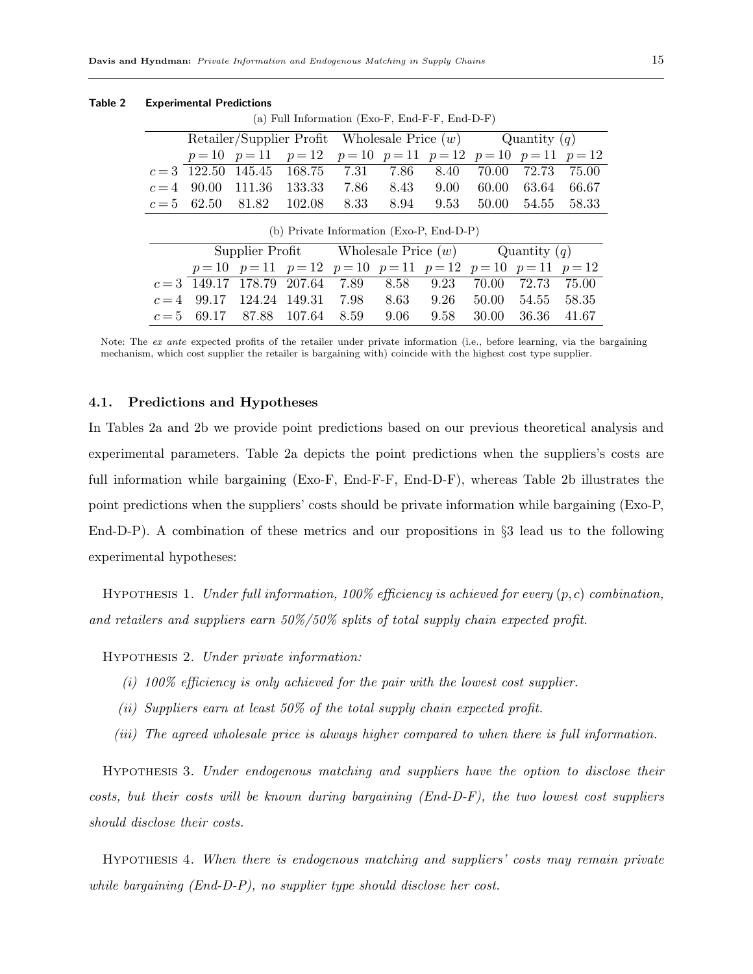| (a) Full Information (Exo-F, End-F-F, End-D-F) |  |                                                                |                                            |  |  |      |             |       |       |
|------------------------------------------------|--|----------------------------------------------------------------|--------------------------------------------|--|--|------|-------------|-------|-------|
|                                                |  | Retailer/Supplier Profit Wholesale Price $(w)$ Quantity $(q)$  |                                            |  |  |      |             |       |       |
|                                                |  | $p=10$ $p=11$ $p=12$ $p=10$ $p=11$ $p=12$ $p=10$ $p=11$ $p=12$ |                                            |  |  |      |             |       |       |
|                                                |  | $c=3$ 122.50 145.45 168.75 7.31 7.86                           |                                            |  |  | 8.40 | 70.00       | 72.73 | 75.00 |
|                                                |  | $c=4$ 90.00 111.36 133.33 7.86 8.43 9.00 60.00 63.64 66.67     |                                            |  |  |      |             |       |       |
|                                                |  | $c=5$ 62.50 81.82 102.08 8.33 8.94 9.53 50.00 54.55 58.33      |                                            |  |  |      |             |       |       |
|                                                |  |                                                                | (b) Private Information $(Exo-P, End-D-P)$ |  |  |      |             |       |       |
|                                                |  | Supplier Profit Wholesale Price $(w)$ Quantity $(q)$           |                                            |  |  |      |             |       |       |
|                                                |  | $p=10$ $p=11$ $p=12$ $p=10$ $p=11$ $p=12$ $p=10$ $p=11$ $p=12$ |                                            |  |  |      |             |       |       |
|                                                |  | $c=3$ 149.17 178.79 207.64 7.89 8.58 9.23                      |                                            |  |  |      | 70.00 72.73 |       | 75.00 |
|                                                |  | $c=4$ 99.17 124.24 149.31 7.98 8.63 9.26 50.00 54.55 58.35     |                                            |  |  |      |             |       |       |

Table 2 Experimental Predictions

Note: The ex ante expected profits of the retailer under private information (i.e., before learning, via the bargaining mechanism, which cost supplier the retailer is bargaining with) coincide with the highest cost type supplier.

 $c = 5$  69.17 87.88 107.64 8.59 9.06 9.58 30.00 36.36 41.67

## 4.1. Predictions and Hypotheses

In Tables 2a and 2b we provide point predictions based on our previous theoretical analysis and experimental parameters. Table 2a depicts the point predictions when the suppliers's costs are full information while bargaining (Exo-F, End-F-F, End-D-F), whereas Table 2b illustrates the point predictions when the suppliers' costs should be private information while bargaining (Exo-P, End-D-P). A combination of these metrics and our propositions in §3 lead us to the following experimental hypotheses:

HYPOTHESIS 1. Under full information,  $100\%$  efficiency is achieved for every  $(p, c)$  combination, and retailers and suppliers earn 50%/50% splits of total supply chain expected profit.

Hypothesis 2. Under private information:

- (i) 100% efficiency is only achieved for the pair with the lowest cost supplier.
- (ii) Suppliers earn at least 50% of the total supply chain expected profit.
- (iii) The agreed wholesale price is always higher compared to when there is full information.

Hypothesis 3. Under endogenous matching and suppliers have the option to disclose their costs, but their costs will be known during bargaining (End-D-F), the two lowest cost suppliers should disclose their costs.

Hypothesis 4. When there is endogenous matching and suppliers' costs may remain private while bargaining (End-D-P), no supplier type should disclose her cost.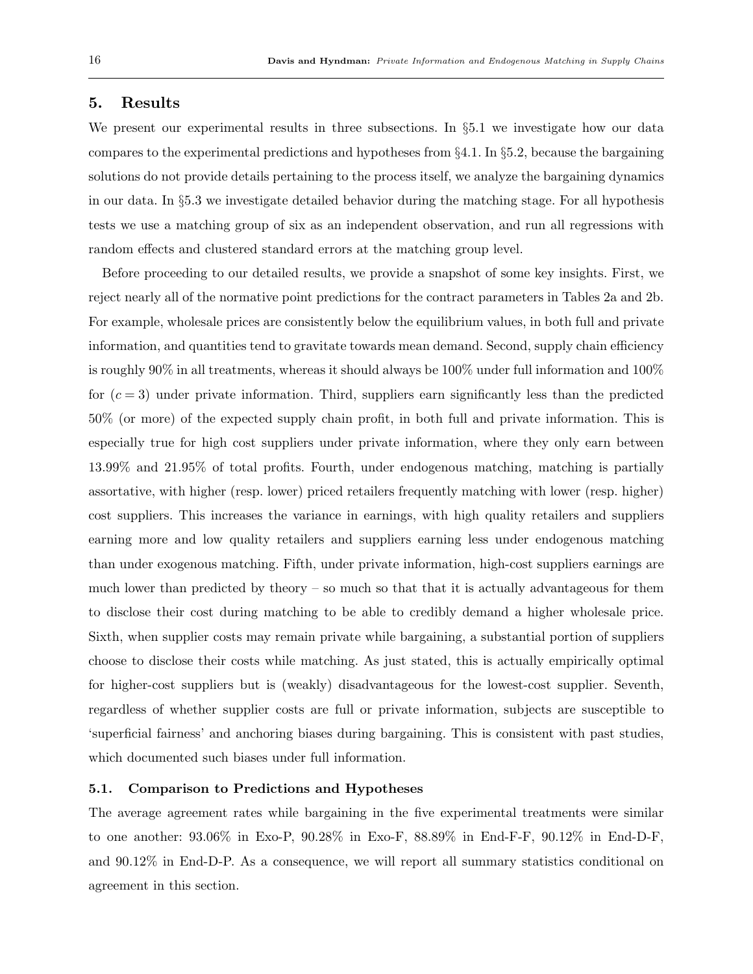# 5. Results

We present our experimental results in three subsections. In §5.1 we investigate how our data compares to the experimental predictions and hypotheses from §4.1. In §5.2, because the bargaining solutions do not provide details pertaining to the process itself, we analyze the bargaining dynamics in our data. In §5.3 we investigate detailed behavior during the matching stage. For all hypothesis tests we use a matching group of six as an independent observation, and run all regressions with random effects and clustered standard errors at the matching group level.

Before proceeding to our detailed results, we provide a snapshot of some key insights. First, we reject nearly all of the normative point predictions for the contract parameters in Tables 2a and 2b. For example, wholesale prices are consistently below the equilibrium values, in both full and private information, and quantities tend to gravitate towards mean demand. Second, supply chain efficiency is roughly 90% in all treatments, whereas it should always be 100% under full information and 100% for  $(c=3)$  under private information. Third, suppliers earn significantly less than the predicted 50% (or more) of the expected supply chain profit, in both full and private information. This is especially true for high cost suppliers under private information, where they only earn between 13.99% and 21.95% of total profits. Fourth, under endogenous matching, matching is partially assortative, with higher (resp. lower) priced retailers frequently matching with lower (resp. higher) cost suppliers. This increases the variance in earnings, with high quality retailers and suppliers earning more and low quality retailers and suppliers earning less under endogenous matching than under exogenous matching. Fifth, under private information, high-cost suppliers earnings are much lower than predicted by theory – so much so that that it is actually advantageous for them to disclose their cost during matching to be able to credibly demand a higher wholesale price. Sixth, when supplier costs may remain private while bargaining, a substantial portion of suppliers choose to disclose their costs while matching. As just stated, this is actually empirically optimal for higher-cost suppliers but is (weakly) disadvantageous for the lowest-cost supplier. Seventh, regardless of whether supplier costs are full or private information, subjects are susceptible to 'superficial fairness' and anchoring biases during bargaining. This is consistent with past studies, which documented such biases under full information.

## 5.1. Comparison to Predictions and Hypotheses

The average agreement rates while bargaining in the five experimental treatments were similar to one another: 93.06% in Exo-P, 90.28% in Exo-F, 88.89% in End-F-F, 90.12% in End-D-F, and 90.12% in End-D-P. As a consequence, we will report all summary statistics conditional on agreement in this section.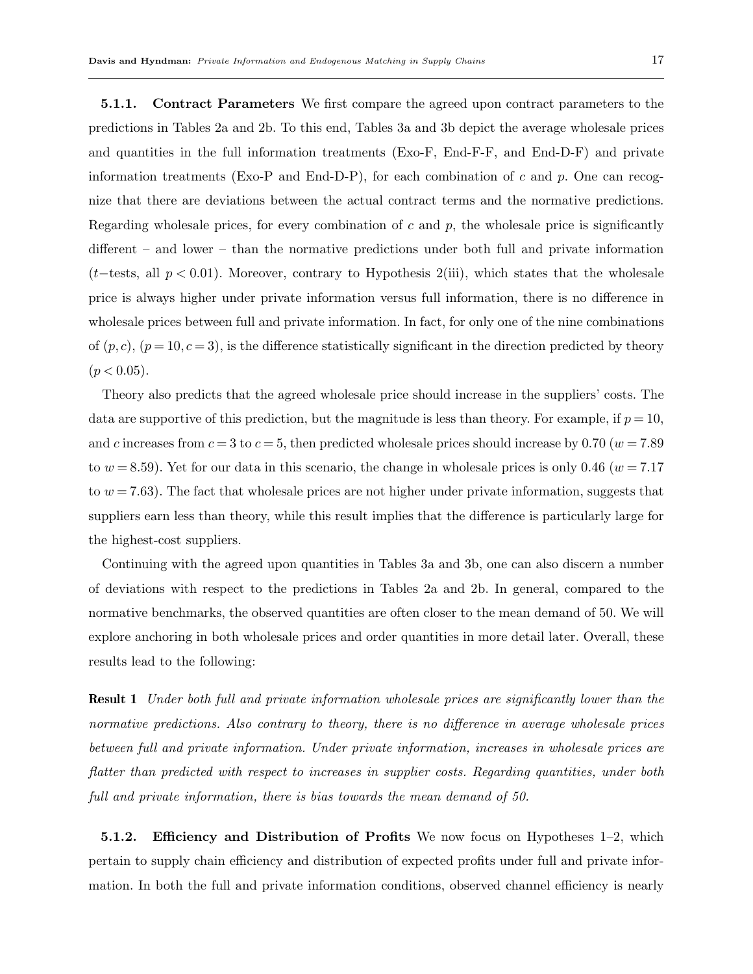5.1.1. Contract Parameters We first compare the agreed upon contract parameters to the predictions in Tables 2a and 2b. To this end, Tables 3a and 3b depict the average wholesale prices and quantities in the full information treatments (Exo-F, End-F-F, and End-D-F) and private information treatments (Exo-P and End-D-P), for each combination of  $c$  and  $p$ . One can recognize that there are deviations between the actual contract terms and the normative predictions. Regarding wholesale prices, for every combination of c and  $p$ , the wholesale price is significantly different – and lower – than the normative predictions under both full and private information  $(t$ -tests, all  $p$  < 0.01). Moreover, contrary to Hypothesis 2(iii), which states that the wholesale price is always higher under private information versus full information, there is no difference in wholesale prices between full and private information. In fact, for only one of the nine combinations of  $(p, c)$ ,  $(p = 10, c = 3)$ , is the difference statistically significant in the direction predicted by theory  $(p < 0.05)$ .

Theory also predicts that the agreed wholesale price should increase in the suppliers' costs. The data are supportive of this prediction, but the magnitude is less than theory. For example, if  $p = 10$ , and c increases from  $c = 3$  to  $c = 5$ , then predicted wholesale prices should increase by 0.70 ( $w = 7.89$ ) to  $w = 8.59$ ). Yet for our data in this scenario, the change in wholesale prices is only 0.46 ( $w = 7.17$ ) to  $w = 7.63$ ). The fact that wholesale prices are not higher under private information, suggests that suppliers earn less than theory, while this result implies that the difference is particularly large for the highest-cost suppliers.

Continuing with the agreed upon quantities in Tables 3a and 3b, one can also discern a number of deviations with respect to the predictions in Tables 2a and 2b. In general, compared to the normative benchmarks, the observed quantities are often closer to the mean demand of 50. We will explore anchoring in both wholesale prices and order quantities in more detail later. Overall, these results lead to the following:

Result 1 Under both full and private information wholesale prices are significantly lower than the normative predictions. Also contrary to theory, there is no difference in average wholesale prices between full and private information. Under private information, increases in wholesale prices are flatter than predicted with respect to increases in supplier costs. Regarding quantities, under both full and private information, there is bias towards the mean demand of 50.

5.1.2. Efficiency and Distribution of Profits We now focus on Hypotheses 1–2, which pertain to supply chain efficiency and distribution of expected profits under full and private information. In both the full and private information conditions, observed channel efficiency is nearly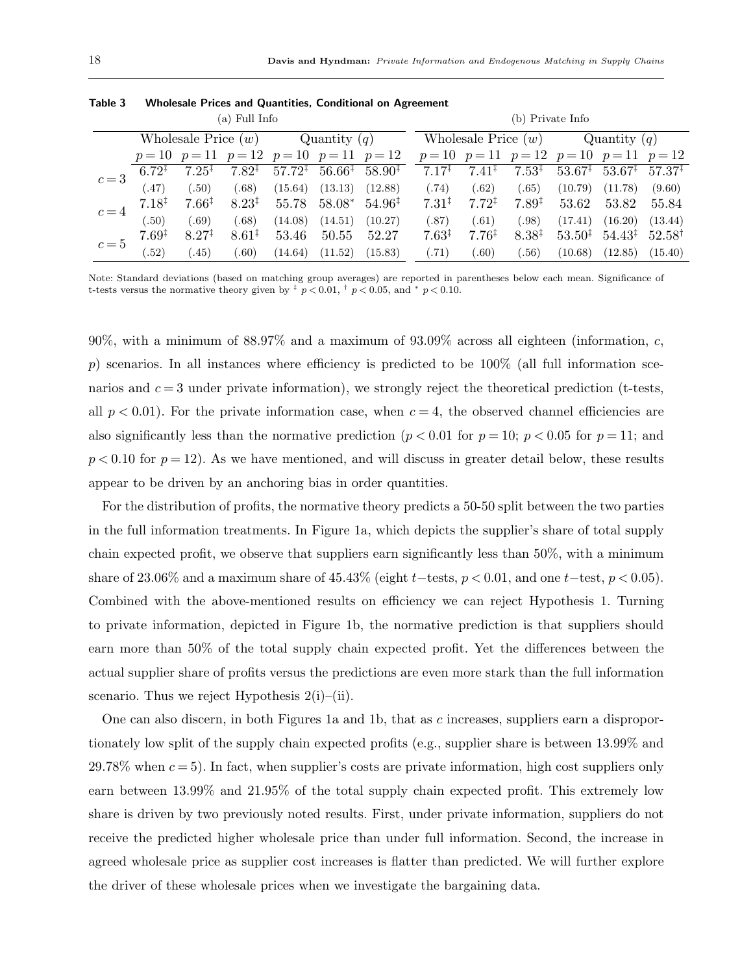| (a) Full Info |                      |                       |                                           |         |                |                                                                                                  | (b) Private Info      |                   |                   |                                           |                                       |                   |
|---------------|----------------------|-----------------------|-------------------------------------------|---------|----------------|--------------------------------------------------------------------------------------------------|-----------------------|-------------------|-------------------|-------------------------------------------|---------------------------------------|-------------------|
|               |                      | Wholesale Price $(w)$ |                                           |         | Quantity $(q)$ |                                                                                                  | Wholesale Price $(w)$ |                   |                   | Quantity $(q)$                            |                                       |                   |
|               |                      |                       | $p=10$ $p=11$ $p=12$ $p=10$ $p=11$ $p=12$ |         |                |                                                                                                  |                       |                   |                   | $p=10$ $p=11$ $p=12$ $p=10$ $p=11$ $p=12$ |                                       |                   |
| $c=3$         | $6.72^{\frac{1}{4}}$ | $7.25^{\ddagger}$     | $7.82^{\ddagger}$                         |         |                | $57.72^{\ddagger}$ 56.66 <sup><math>\ddagger</math></sup> 58.90 <sup><math>\ddagger</math></sup> | $7.17^{\ddagger}$     | $7.41^{\ddagger}$ | $7.53^{\ddagger}$ | $53.67^{\ddagger}$                        | $53.67^{\ddagger}$ 57.37 <sup>‡</sup> |                   |
|               | (.47)                | (.50)                 | (.68)                                     | (15.64) | (13.13)        | (12.88)                                                                                          | (.74)                 | (.62)             | (.65)             | (10.79)                                   | (11.78)                               | (9.60)            |
| $c=4$         | $7.18$ <sup>T</sup>  | $7.66*$               | $8.23^{\ddagger}$                         | 55.78   |                | $58.08^*$ 54.96 <sup>‡</sup>                                                                     | $7.31^{\ddagger}$     | $7.72^{\ddagger}$ | $7.89^{\ddagger}$ | 53.62                                     | 53.82                                 | 55.84             |
|               | (.50)                | (.69)                 | (.68)                                     | (14.08) | (14.51)        | (10.27)                                                                                          | (.87)                 | (.61)             | (.98)             | (17.41)                                   | (16.20)                               | (13.44)           |
| $c=5$         | $7.69^{\ddagger}$    | $8.27^{\ddagger}$     | $8.61*$                                   | 53.46   | 50.55          | 52.27                                                                                            | $7.63^{\ddagger}$     | $7.76^{\ddagger}$ | $8.38^{\ddagger}$ | $53.50^{\ddagger}$                        | $54.43^{\ddagger}$                    | $52.58^{\dagger}$ |
|               | (.52)                | (.45)                 | (0.60)                                    | (14.64) | (11.52)        | (15.83)                                                                                          | (.71)                 | (.60)             | (.56)             | (10.68)                                   | (12.85)                               | (15.40)           |

| Table 3<br><b>Wholesale Prices and Quantities, Conditional on Agreement</b> |  |
|-----------------------------------------------------------------------------|--|
|-----------------------------------------------------------------------------|--|

Note: Standard deviations (based on matching group averages) are reported in parentheses below each mean. Significance of t-tests versus the normative theory given by  $\frac{1}{7}$  p < 0.01,  $\frac{1}{7}$  p < 0.05, and  $*$  p < 0.10.

90%, with a minimum of 88.97% and a maximum of 93.09% across all eighteen (information, c,  $p$ ) scenarios. In all instances where efficiency is predicted to be 100% (all full information scenarios and  $c = 3$  under private information), we strongly reject the theoretical prediction (t-tests, all  $p < 0.01$ ). For the private information case, when  $c = 4$ , the observed channel efficiencies are also significantly less than the normative prediction ( $p < 0.01$  for  $p = 10$ ;  $p < 0.05$  for  $p = 11$ ; and  $p < 0.10$  for  $p = 12$ ). As we have mentioned, and will discuss in greater detail below, these results appear to be driven by an anchoring bias in order quantities.

For the distribution of profits, the normative theory predicts a 50-50 split between the two parties in the full information treatments. In Figure 1a, which depicts the supplier's share of total supply chain expected profit, we observe that suppliers earn significantly less than 50%, with a minimum share of 23.06% and a maximum share of 45.43% (eight t−tests,  $p < 0.01$ , and one t−test,  $p < 0.05$ ). Combined with the above-mentioned results on efficiency we can reject Hypothesis 1. Turning to private information, depicted in Figure 1b, the normative prediction is that suppliers should earn more than 50% of the total supply chain expected profit. Yet the differences between the actual supplier share of profits versus the predictions are even more stark than the full information scenario. Thus we reject Hypothesis  $2(i)$ –(ii).

One can also discern, in both Figures 1a and 1b, that as c increases, suppliers earn a disproportionately low split of the supply chain expected profits (e.g., supplier share is between 13.99% and 29.78% when  $c = 5$ ). In fact, when supplier's costs are private information, high cost suppliers only earn between 13.99% and 21.95% of the total supply chain expected profit. This extremely low share is driven by two previously noted results. First, under private information, suppliers do not receive the predicted higher wholesale price than under full information. Second, the increase in agreed wholesale price as supplier cost increases is flatter than predicted. We will further explore the driver of these wholesale prices when we investigate the bargaining data.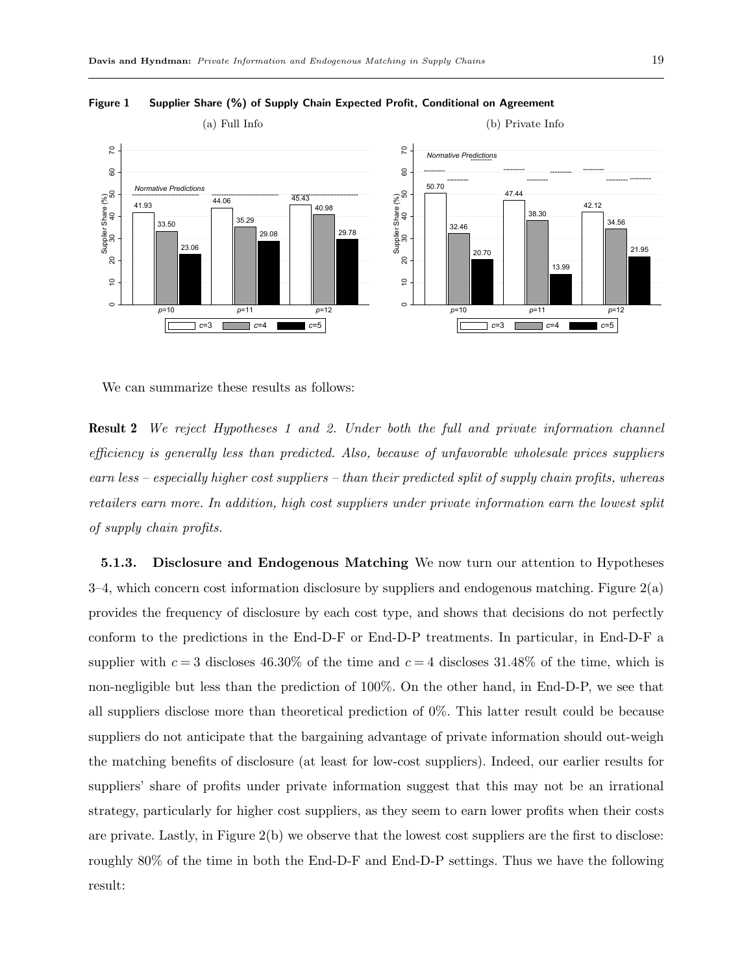

Figure 1 Supplier Share (%) of Supply Chain Expected Profit, Conditional on Agreement

We can summarize these results as follows:

Result 2 We reject Hypotheses 1 and 2. Under both the full and private information channel efficiency is generally less than predicted. Also, because of unfavorable wholesale prices suppliers earn less – especially higher cost suppliers – than their predicted split of supply chain profits, whereas retailers earn more. In addition, high cost suppliers under private information earn the lowest split of supply chain profits.

5.1.3. Disclosure and Endogenous Matching We now turn our attention to Hypotheses 3–4, which concern cost information disclosure by suppliers and endogenous matching. Figure 2(a) provides the frequency of disclosure by each cost type, and shows that decisions do not perfectly conform to the predictions in the End-D-F or End-D-P treatments. In particular, in End-D-F a supplier with  $c = 3$  discloses 46.30% of the time and  $c = 4$  discloses 31.48% of the time, which is non-negligible but less than the prediction of 100%. On the other hand, in End-D-P, we see that all suppliers disclose more than theoretical prediction of 0%. This latter result could be because suppliers do not anticipate that the bargaining advantage of private information should out-weigh the matching benefits of disclosure (at least for low-cost suppliers). Indeed, our earlier results for suppliers' share of profits under private information suggest that this may not be an irrational strategy, particularly for higher cost suppliers, as they seem to earn lower profits when their costs are private. Lastly, in Figure 2(b) we observe that the lowest cost suppliers are the first to disclose: roughly 80% of the time in both the End-D-F and End-D-P settings. Thus we have the following result: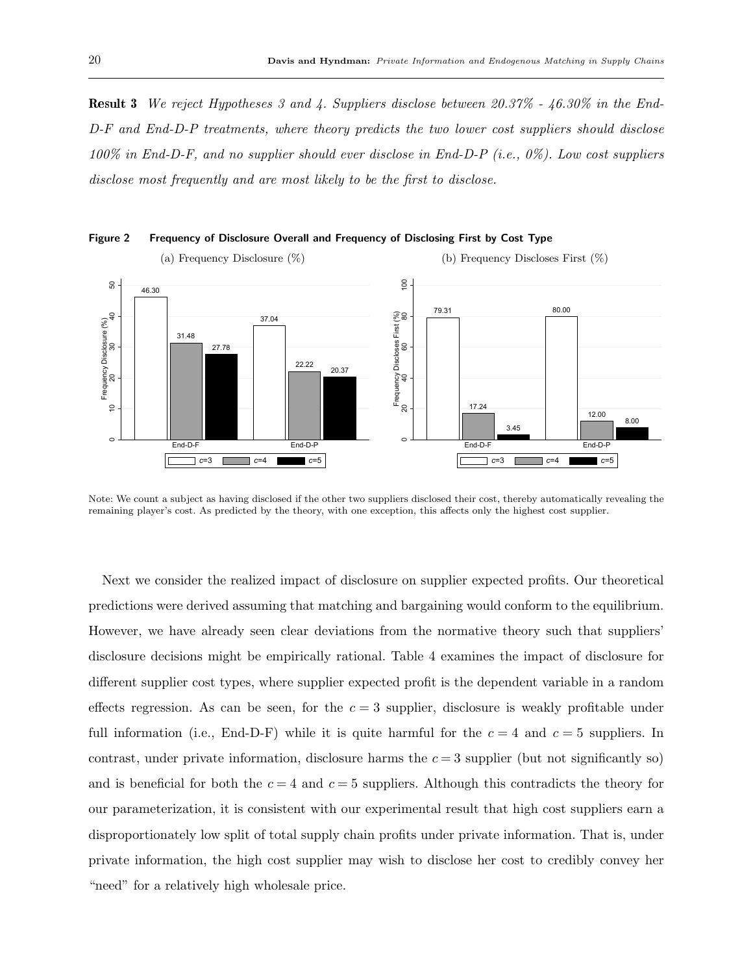Result 3 We reject Hypotheses 3 and 4. Suppliers disclose between 20.37% - 46.30% in the End-D-F and End-D-P treatments, where theory predicts the two lower cost suppliers should disclose 100% in End-D-F, and no supplier should ever disclose in End-D-P (i.e., 0%). Low cost suppliers disclose most frequently and are most likely to be the first to disclose.



Figure 2 Frequency of Disclosure Overall and Frequency of Disclosing First by Cost Type

Note: We count a subject as having disclosed if the other two suppliers disclosed their cost, thereby automatically revealing the remaining player's cost. As predicted by the theory, with one exception, this affects only the highest cost supplier.

Next we consider the realized impact of disclosure on supplier expected profits. Our theoretical predictions were derived assuming that matching and bargaining would conform to the equilibrium. However, we have already seen clear deviations from the normative theory such that suppliers' disclosure decisions might be empirically rational. Table 4 examines the impact of disclosure for different supplier cost types, where supplier expected profit is the dependent variable in a random effects regression. As can be seen, for the  $c = 3$  supplier, disclosure is weakly profitable under full information (i.e., End-D-F) while it is quite harmful for the  $c = 4$  and  $c = 5$  suppliers. In contrast, under private information, disclosure harms the  $c = 3$  supplier (but not significantly so) and is beneficial for both the  $c = 4$  and  $c = 5$  suppliers. Although this contradicts the theory for our parameterization, it is consistent with our experimental result that high cost suppliers earn a disproportionately low split of total supply chain profits under private information. That is, under private information, the high cost supplier may wish to disclose her cost to credibly convey her "need" for a relatively high wholesale price.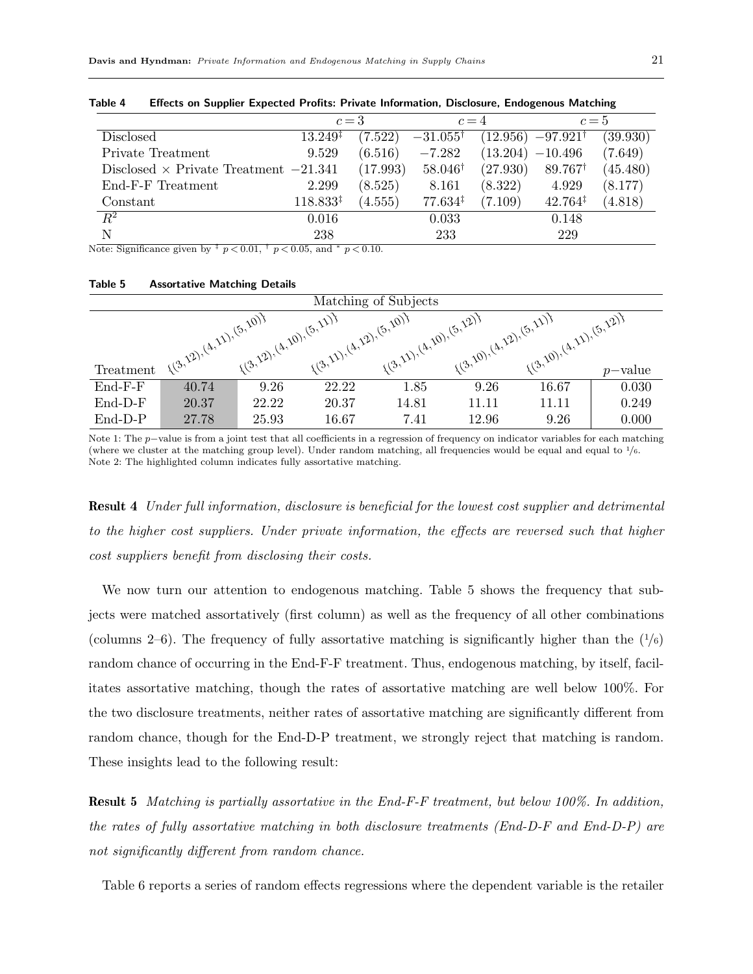|                                                | $c=3$               |          | $c=4$               |          | $c=5$               |          |
|------------------------------------------------|---------------------|----------|---------------------|----------|---------------------|----------|
| <b>Disclosed</b>                               | $13.249^{\ddagger}$ | (7.522)  | $-31.055^{\dagger}$ | (12.956) | $-97.921^{\dagger}$ | (39.930) |
| Private Treatment                              | 9.529               | (6.516)  | $-7.282$            | (13.204) | $-10.496$           | (7.649)  |
| Disclosed $\times$ Private Treatment $-21.341$ |                     | (17.993) | $58.046^{\dagger}$  | (27.930) | $89.767^{\dagger}$  | (45.480) |
| End-F-F Treatment                              | 2.299               | (8.525)  | 8.161               | (8.322)  | 4.929               | (8.177)  |
| Constant                                       | $118.833*$          | (4.555)  | $77.634^{\ddagger}$ | (7.109)  | $42.764^{\ddagger}$ | (4.818)  |
| $R^2$                                          | 0.016               |          | 0.033               |          | 0.148               |          |
| N                                              | 238                 |          | 233                 |          | 229                 |          |
| .<br>.                                         |                     | - - -    |                     |          |                     |          |

Table 4 Effects on Supplier Expected Profits: Private Information, Disclosure, Endogenous Matching

Note: Significance given by  $\frac{1}{r} p \lt 0.01$ ,  $\frac{1}{r} p \lt 0.05$ , and  $\frac{1}{r} p \lt 0.10$ .

#### Table 5 Assortative Matching Details

| Matching of Subjects |                          |                          |                         |                          |                         |                         |            |
|----------------------|--------------------------|--------------------------|-------------------------|--------------------------|-------------------------|-------------------------|------------|
|                      |                          |                          |                         |                          |                         |                         |            |
|                      | 1(3,12), (4,11), (5,10)+ | 1(3,12), (4,20), (5,11)7 | 1(3,1), (4,12), (5,10)} | 1(3,11), (4,20), (5,12), | (3,10), (4,12), (5,11), | (3,10), (4,11), (5,12)+ |            |
|                      |                          |                          |                         |                          |                         |                         |            |
| Treatment            |                          |                          |                         |                          |                         |                         | $p$ -value |
| End-F-F              | 40.74                    | 9.26                     | 22.22                   | 1.85                     | 9.26                    | 16.67                   | 0.030      |
| $End-D-F$            | 20.37                    | 22.22                    | 20.37                   | 14.81                    | 11.11                   | 11.11                   | 0.249      |
| $End-D-P$            | 27.78                    | 25.93                    | 16.67                   | 7.41                     | 12.96                   | 9.26                    | 0.000      |

Note 1: The p−value is from a joint test that all coefficients in a regression of frequency on indicator variables for each matching (where we cluster at the matching group level). Under random matching, all frequencies would be equal and equal to  $\frac{1}{6}$ . Note 2: The highlighted column indicates fully assortative matching.

Result 4 Under full information, disclosure is beneficial for the lowest cost supplier and detrimental to the higher cost suppliers. Under private information, the effects are reversed such that higher cost suppliers benefit from disclosing their costs.

We now turn our attention to endogenous matching. Table 5 shows the frequency that subjects were matched assortatively (first column) as well as the frequency of all other combinations (columns 2–6). The frequency of fully assortative matching is significantly higher than the  $(1/6)$ random chance of occurring in the End-F-F treatment. Thus, endogenous matching, by itself, facilitates assortative matching, though the rates of assortative matching are well below 100%. For the two disclosure treatments, neither rates of assortative matching are significantly different from random chance, though for the End-D-P treatment, we strongly reject that matching is random. These insights lead to the following result:

Result 5 Matching is partially assortative in the End-F-F treatment, but below 100%. In addition, the rates of fully assortative matching in both disclosure treatments (End-D-F and End-D-P) are not significantly different from random chance.

Table 6 reports a series of random effects regressions where the dependent variable is the retailer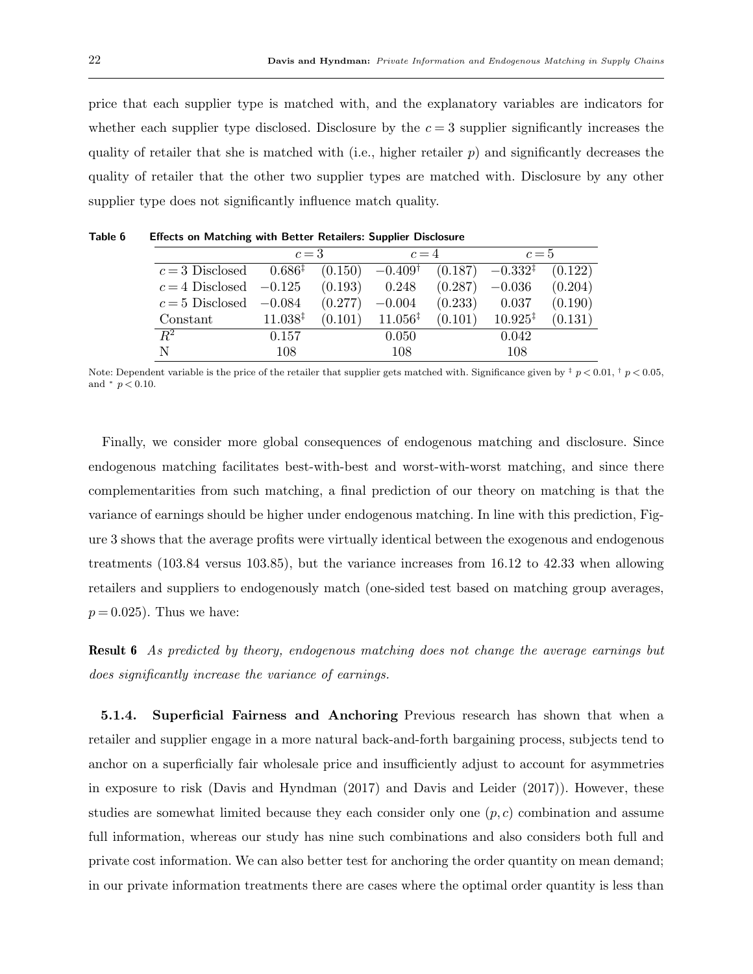price that each supplier type is matched with, and the explanatory variables are indicators for whether each supplier type disclosed. Disclosure by the  $c = 3$  supplier significantly increases the quality of retailer that she is matched with (i.e., higher retailer  $p$ ) and significantly decreases the quality of retailer that the other two supplier types are matched with. Disclosure by any other supplier type does not significantly influence match quality.

|                            | $c=3$               |         | $c=4$               |         | $c=5$               |         |
|----------------------------|---------------------|---------|---------------------|---------|---------------------|---------|
| $c=3$ Disclosed            | $0.686^{\ddagger}$  | (0.150) | $-0.409^{\dagger}$  | (0.187) | $-0.332^{4}$        | (0.122) |
| $c = 4$ Disclosed $-0.125$ |                     | (0.193) | 0.248               | (0.287) | $-0.036$            | (0.204) |
| $c = 5$ Disclosed          | $-0.084$            | (0.277) | $-0.004$            | (0.233) | 0.037               | (0.190) |
| Constant                   | $11.038^{\ddagger}$ | (0.101) | $11.056^{\ddagger}$ | (0.101) | $10.925^{\ddagger}$ | (0.131) |
| $R^2$                      | 0.157               |         | 0.050               |         | 0.042               |         |
| N                          | 108                 |         | 108                 |         | 108                 |         |

Table 6 Effects on Matching with Better Retailers: Supplier Disclosure

Finally, we consider more global consequences of endogenous matching and disclosure. Since endogenous matching facilitates best-with-best and worst-with-worst matching, and since there complementarities from such matching, a final prediction of our theory on matching is that the variance of earnings should be higher under endogenous matching. In line with this prediction, Figure 3 shows that the average profits were virtually identical between the exogenous and endogenous treatments (103.84 versus 103.85), but the variance increases from 16.12 to 42.33 when allowing retailers and suppliers to endogenously match (one-sided test based on matching group averages,  $p = 0.025$ . Thus we have:

Result 6 As predicted by theory, endogenous matching does not change the average earnings but does significantly increase the variance of earnings.

5.1.4. Superficial Fairness and Anchoring Previous research has shown that when a retailer and supplier engage in a more natural back-and-forth bargaining process, subjects tend to anchor on a superficially fair wholesale price and insufficiently adjust to account for asymmetries in exposure to risk (Davis and Hyndman (2017) and Davis and Leider (2017)). However, these studies are somewhat limited because they each consider only one  $(p, c)$  combination and assume full information, whereas our study has nine such combinations and also considers both full and private cost information. We can also better test for anchoring the order quantity on mean demand; in our private information treatments there are cases where the optimal order quantity is less than

Note: Dependent variable is the price of the retailer that supplier gets matched with. Significance given by  $\frac{1}{r} p < 0.01$ ,  $\frac{1}{r} p < 0.05$ , and  $*$   $p < 0.10$ .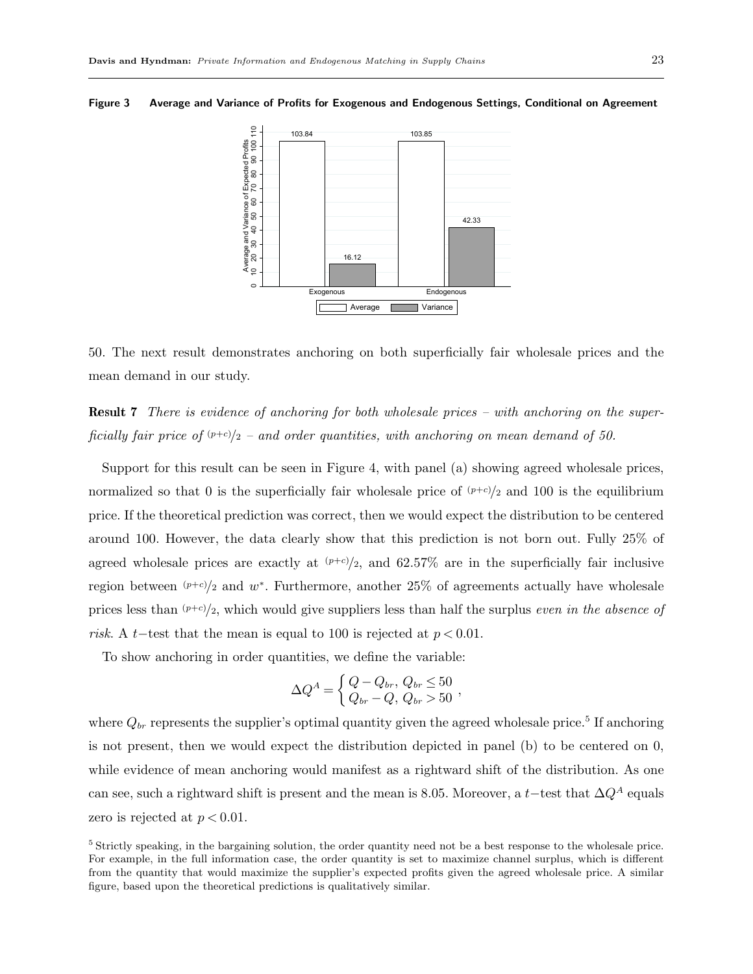

Figure 3 Average and Variance of Profits for Exogenous and Endogenous Settings, Conditional on Agreement

50. The next result demonstrates anchoring on both superficially fair wholesale prices and the mean demand in our study.

Result 7 There is evidence of anchoring for both wholesale prices – with anchoring on the superficially fair price of  $(p+c)/2$  – and order quantities, with anchoring on mean demand of 50.

Support for this result can be seen in Figure 4, with panel (a) showing agreed wholesale prices, normalized so that 0 is the superficially fair wholesale price of  $(p+c)/2$  and 100 is the equilibrium price. If the theoretical prediction was correct, then we would expect the distribution to be centered around 100. However, the data clearly show that this prediction is not born out. Fully 25% of agreed wholesale prices are exactly at  $(p+c)/2$ , and 62.57% are in the superficially fair inclusive region between  $(p+c)/2$  and w<sup>\*</sup>. Furthermore, another 25% of agreements actually have wholesale prices less than  $(p+c)/2$ , which would give suppliers less than half the surplus *even in the absence of* risk. A t−test that the mean is equal to 100 is rejected at  $p < 0.01$ .

To show anchoring in order quantities, we define the variable:

$$
\Delta Q^A = \begin{cases} Q - Q_{br}, Q_{br} \leq 50 \\ Q_{br} - Q, Q_{br} > 50 \end{cases}
$$

where  $Q_{br}$  represents the supplier's optimal quantity given the agreed wholesale price.<sup>5</sup> If anchoring is not present, then we would expect the distribution depicted in panel (b) to be centered on 0, while evidence of mean anchoring would manifest as a rightward shift of the distribution. As one can see, such a rightward shift is present and the mean is 8.05. Moreover, a t–test that  $\Delta Q^A$  equals zero is rejected at  $p < 0.01$ .

<sup>5</sup> Strictly speaking, in the bargaining solution, the order quantity need not be a best response to the wholesale price. For example, in the full information case, the order quantity is set to maximize channel surplus, which is different from the quantity that would maximize the supplier's expected profits given the agreed wholesale price. A similar figure, based upon the theoretical predictions is qualitatively similar.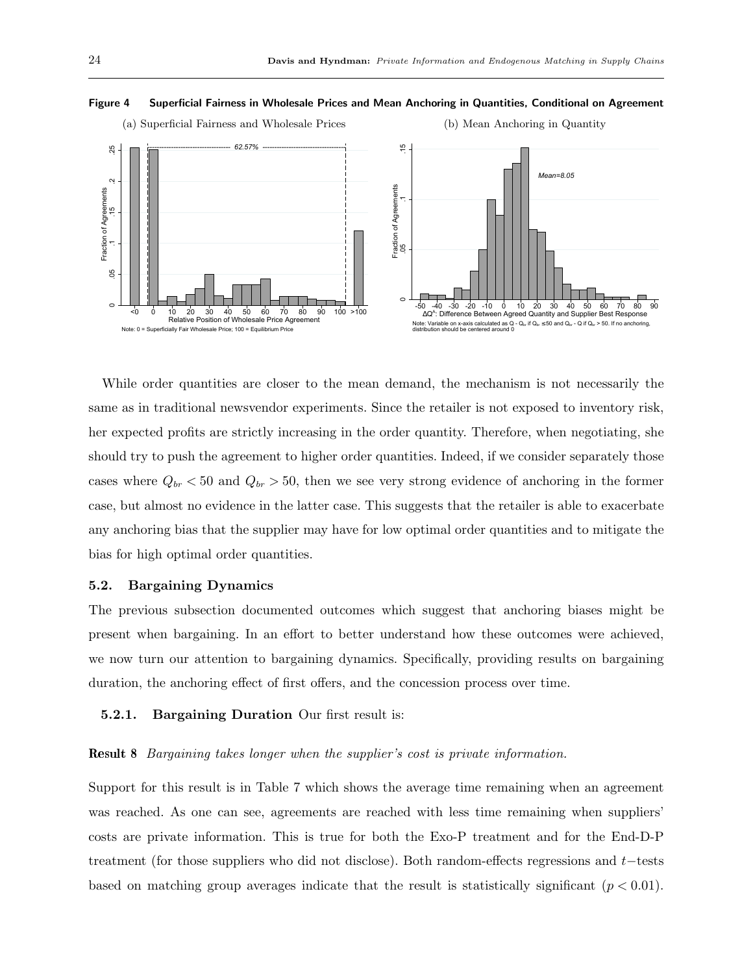

#### Figure 4 Superficial Fairness in Wholesale Prices and Mean Anchoring in Quantities, Conditional on Agreement

While order quantities are closer to the mean demand, the mechanism is not necessarily the same as in traditional newsvendor experiments. Since the retailer is not exposed to inventory risk, her expected profits are strictly increasing in the order quantity. Therefore, when negotiating, she should try to push the agreement to higher order quantities. Indeed, if we consider separately those cases where  $Q_{br} < 50$  and  $Q_{br} > 50$ , then we see very strong evidence of anchoring in the former case, but almost no evidence in the latter case. This suggests that the retailer is able to exacerbate any anchoring bias that the supplier may have for low optimal order quantities and to mitigate the bias for high optimal order quantities.

## 5.2. Bargaining Dynamics

The previous subsection documented outcomes which suggest that anchoring biases might be present when bargaining. In an effort to better understand how these outcomes were achieved, we now turn our attention to bargaining dynamics. Specifically, providing results on bargaining duration, the anchoring effect of first offers, and the concession process over time.

## 5.2.1. Bargaining Duration Our first result is:

## Result 8 Bargaining takes longer when the supplier's cost is private information.

Support for this result is in Table 7 which shows the average time remaining when an agreement was reached. As one can see, agreements are reached with less time remaining when suppliers' costs are private information. This is true for both the Exo-P treatment and for the End-D-P treatment (for those suppliers who did not disclose). Both random-effects regressions and t−tests based on matching group averages indicate that the result is statistically significant  $(p < 0.01)$ .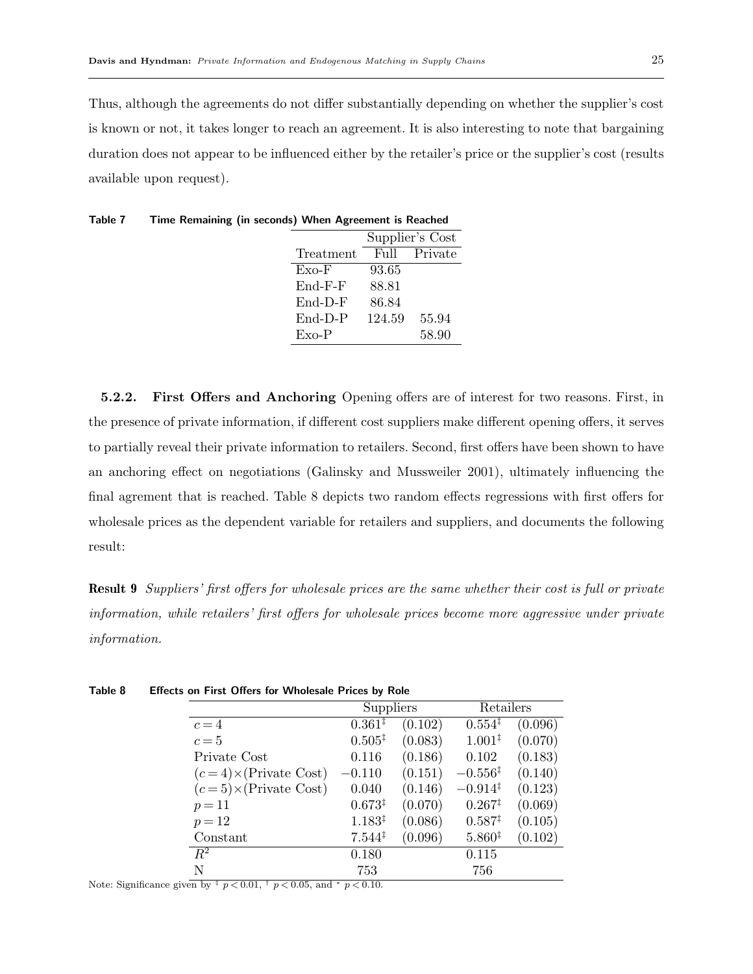Table 7 Time Remaining (in seconds) When Agreement is Reached

Thus, although the agreements do not differ substantially depending on whether the supplier's cost is known or not, it takes longer to reach an agreement. It is also interesting to note that bargaining duration does not appear to be influenced either by the retailer's price or the supplier's cost (results available upon request).

|           |        | Supplier's Cost |
|-----------|--------|-----------------|
| Treatment | Full   | Private         |
| $Exo-F$   | 93.65  |                 |
| $End-F-F$ | 88.81  |                 |
| $End-D-F$ | 86.84  |                 |
| End-D-P   | 124.59 | 55.94           |
| $Exo-P$   |        | 58.90           |
|           |        |                 |

5.2.2. First Offers and Anchoring Opening offers are of interest for two reasons. First, in the presence of private information, if different cost suppliers make different opening offers, it serves to partially reveal their private information to retailers. Second, first offers have been shown to have an anchoring effect on negotiations (Galinsky and Mussweiler 2001), ultimately influencing the final agrement that is reached. Table 8 depicts two random effects regressions with first offers for wholesale prices as the dependent variable for retailers and suppliers, and documents the following result:

Result 9 Suppliers' first offers for wholesale prices are the same whether their cost is full or private information, while retailers' first offers for wholesale prices become more aggressive under private information.

|                               | Suppliers          |         | Retailers           |         |
|-------------------------------|--------------------|---------|---------------------|---------|
| $c=4$                         | $0.361*$           | (0.102) | $0.554^{\ddagger}$  | (0.096) |
| $c=5$                         | $0.505^{\ddagger}$ | (0.083) | $1.001*$            | (0.070) |
| Private Cost                  | 0.116              | (0.186) | 0.102               | (0.183) |
| $(c=4) \times (Private Cost)$ | $-0.110$           | (0.151) | $-0.556^{\ddagger}$ | (0.140) |
| $(c=5)\times$ (Private Cost)  | 0.040              | (0.146) | $-0.914^{\ddagger}$ | (0.123) |
| $p = 11$                      | $0.673*$           | (0.070) | $0.267^{\ddagger}$  | (0.069) |
| $p = 12$                      | $1.183^{\ddagger}$ | (0.086) | $0.587^{\ddagger}$  | (0.105) |
| Constant                      | $7.544*$           | (0.096) | $5.860*$            | (0.102) |
| $R^2$                         | 0.180              |         | 0.115               |         |
| N                             | 753                |         | 756                 |         |
|                               |                    |         |                     |         |

Table 8 Effects on First Offers for Wholesale Prices by Role

Note: Significance given by  $\frac{1}{r} p \lt 0.01$ ,  $\frac{1}{r} p \lt 0.05$ , and  $\frac{1}{r} p \lt 0.10$ .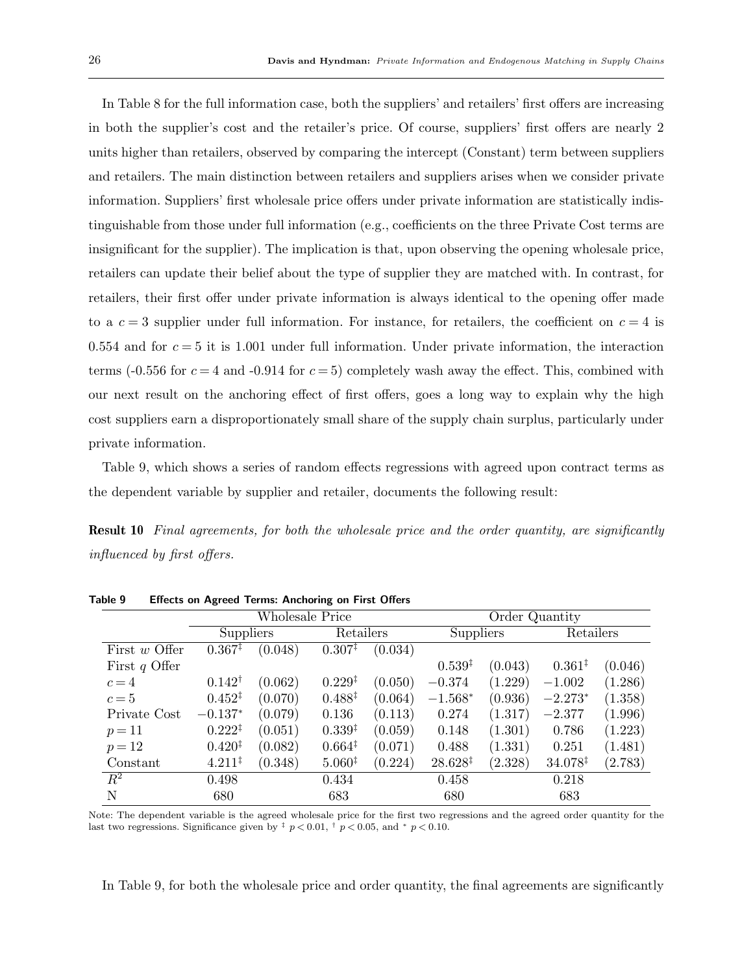In Table 8 for the full information case, both the suppliers' and retailers' first offers are increasing in both the supplier's cost and the retailer's price. Of course, suppliers' first offers are nearly 2 units higher than retailers, observed by comparing the intercept (Constant) term between suppliers and retailers. The main distinction between retailers and suppliers arises when we consider private information. Suppliers' first wholesale price offers under private information are statistically indistinguishable from those under full information (e.g., coefficients on the three Private Cost terms are insignificant for the supplier). The implication is that, upon observing the opening wholesale price, retailers can update their belief about the type of supplier they are matched with. In contrast, for retailers, their first offer under private information is always identical to the opening offer made to a  $c = 3$  supplier under full information. For instance, for retailers, the coefficient on  $c = 4$  is  $0.554$  and for  $c = 5$  it is 1.001 under full information. Under private information, the interaction terms (-0.556 for  $c = 4$  and -0.914 for  $c = 5$ ) completely wash away the effect. This, combined with our next result on the anchoring effect of first offers, goes a long way to explain why the high cost suppliers earn a disproportionately small share of the supply chain surplus, particularly under private information.

Table 9, which shows a series of random effects regressions with agreed upon contract terms as the dependent variable by supplier and retailer, documents the following result:

Result 10 Final agreements, for both the wholesale price and the order quantity, are significantly influenced by first offers.

|                  |                    | Wholesale Price |                    |           | Order Quantity      |           |                     |         |
|------------------|--------------------|-----------------|--------------------|-----------|---------------------|-----------|---------------------|---------|
|                  | Suppliers          |                 |                    | Retailers |                     | Suppliers | Retailers           |         |
| First $w$ Offer  | $0.367^{\ddagger}$ | (0.048)         | $0.307^{\ddagger}$ | (0.034)   |                     |           |                     |         |
| First $q$ Offer  |                    |                 |                    |           | $0.539^{*}$         | (0.043)   | $0.361*$            | (0.046) |
| $c=4$            | $0.142^{\dagger}$  | (0.062)         | $0.229^{†}$        | (0.050)   | $-0.374$            | (1.229)   | $-1.002$            | (1.286) |
| $c=5$            | $0.452^{\ddagger}$ | (0.070)         | $0.488^{\ddagger}$ | (0.064)   | $-1.568*$           | (0.936)   | $-2.273*$           | (1.358) |
| Private Cost     | $-0.137*$          | (0.079)         | 0.136              | (0.113)   | 0.274               | (1.317)   | $-2.377$            | (1.996) |
| $p = 11$         | $0.222^{\ddagger}$ | (0.051)         | $0.339^{*}$        | (0.059)   | 0.148               | (1.301)   | 0.786               | (1.223) |
| $p=12$           | $0.420^{1}$        | (0.082)         | $0.664*$           | (0.071)   | 0.488               | (1.331)   | 0.251               | (1.481) |
| Constant         | $4.211^{\ddagger}$ | (0.348)         | $5.060*$           | (0.224)   | $28.628^{\ddagger}$ | (2.328)   | $34.078^{\ddagger}$ | (2.783) |
| $\overline{R^2}$ | 0.498              |                 | 0.434              |           | 0.458               |           | 0.218               |         |
| N                | 680                |                 | 683                |           | 680                 |           | 683                 |         |

Table 9 Effects on Agreed Terms: Anchoring on First Offers

Note: The dependent variable is the agreed wholesale price for the first two regressions and the agreed order quantity for the last two regressions. Significance given by  $\frac{1}{r}$   $p < 0.01$ ,  $\frac{1}{r}$   $p < 0.05$ , and  $\frac{1}{r}$   $p < 0.10$ .

In Table 9, for both the wholesale price and order quantity, the final agreements are significantly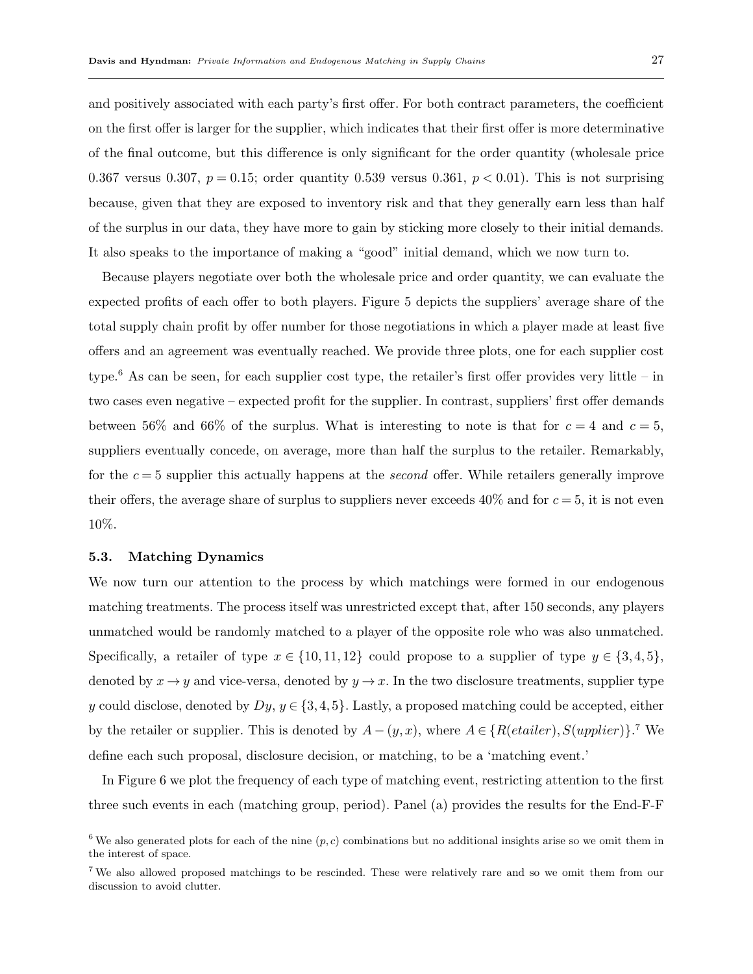and positively associated with each party's first offer. For both contract parameters, the coefficient on the first offer is larger for the supplier, which indicates that their first offer is more determinative of the final outcome, but this difference is only significant for the order quantity (wholesale price 0.367 versus 0.307,  $p = 0.15$ ; order quantity 0.539 versus 0.361,  $p < 0.01$ ). This is not surprising because, given that they are exposed to inventory risk and that they generally earn less than half of the surplus in our data, they have more to gain by sticking more closely to their initial demands.

It also speaks to the importance of making a "good" initial demand, which we now turn to.

Because players negotiate over both the wholesale price and order quantity, we can evaluate the expected profits of each offer to both players. Figure 5 depicts the suppliers' average share of the total supply chain profit by offer number for those negotiations in which a player made at least five offers and an agreement was eventually reached. We provide three plots, one for each supplier cost type.<sup>6</sup> As can be seen, for each supplier cost type, the retailer's first offer provides very little – in two cases even negative – expected profit for the supplier. In contrast, suppliers' first offer demands between 56% and 66% of the surplus. What is interesting to note is that for  $c = 4$  and  $c = 5$ , suppliers eventually concede, on average, more than half the surplus to the retailer. Remarkably, for the  $c = 5$  supplier this actually happens at the *second* offer. While retailers generally improve their offers, the average share of surplus to suppliers never exceeds  $40\%$  and for  $c = 5$ , it is not even 10%.

#### 5.3. Matching Dynamics

We now turn our attention to the process by which matchings were formed in our endogenous matching treatments. The process itself was unrestricted except that, after 150 seconds, any players unmatched would be randomly matched to a player of the opposite role who was also unmatched. Specifically, a retailer of type  $x \in \{10, 11, 12\}$  could propose to a supplier of type  $y \in \{3, 4, 5\}$ , denoted by  $x \to y$  and vice-versa, denoted by  $y \to x$ . In the two disclosure treatments, supplier type y could disclose, denoted by  $Dy, y \in \{3, 4, 5\}$ . Lastly, a proposed matching could be accepted, either by the retailer or supplier. This is denoted by  $A - (y, x)$ , where  $A \in \{R(etailer), S(upplier)\}$ .<sup>7</sup> We define each such proposal, disclosure decision, or matching, to be a 'matching event.'

In Figure 6 we plot the frequency of each type of matching event, restricting attention to the first three such events in each (matching group, period). Panel (a) provides the results for the End-F-F

<sup>&</sup>lt;sup>6</sup> We also generated plots for each of the nine  $(p, c)$  combinations but no additional insights arise so we omit them in the interest of space.

<sup>7</sup> We also allowed proposed matchings to be rescinded. These were relatively rare and so we omit them from our discussion to avoid clutter.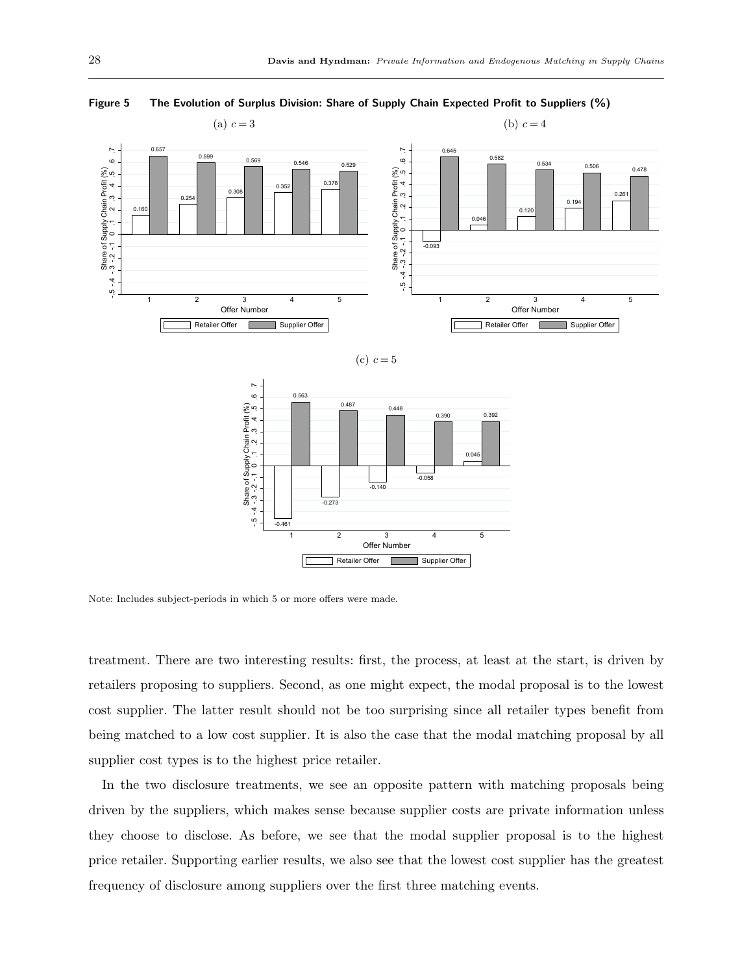

Figure 5 The Evolution of Surplus Division: Share of Supply Chain Expected Profit to Suppliers (%)





Note: Includes subject-periods in which 5 or more offers were made.

treatment. There are two interesting results: first, the process, at least at the start, is driven by retailers proposing to suppliers. Second, as one might expect, the modal proposal is to the lowest cost supplier. The latter result should not be too surprising since all retailer types benefit from being matched to a low cost supplier. It is also the case that the modal matching proposal by all supplier cost types is to the highest price retailer.

In the two disclosure treatments, we see an opposite pattern with matching proposals being driven by the suppliers, which makes sense because supplier costs are private information unless they choose to disclose. As before, we see that the modal supplier proposal is to the highest price retailer. Supporting earlier results, we also see that the lowest cost supplier has the greatest frequency of disclosure among suppliers over the first three matching events.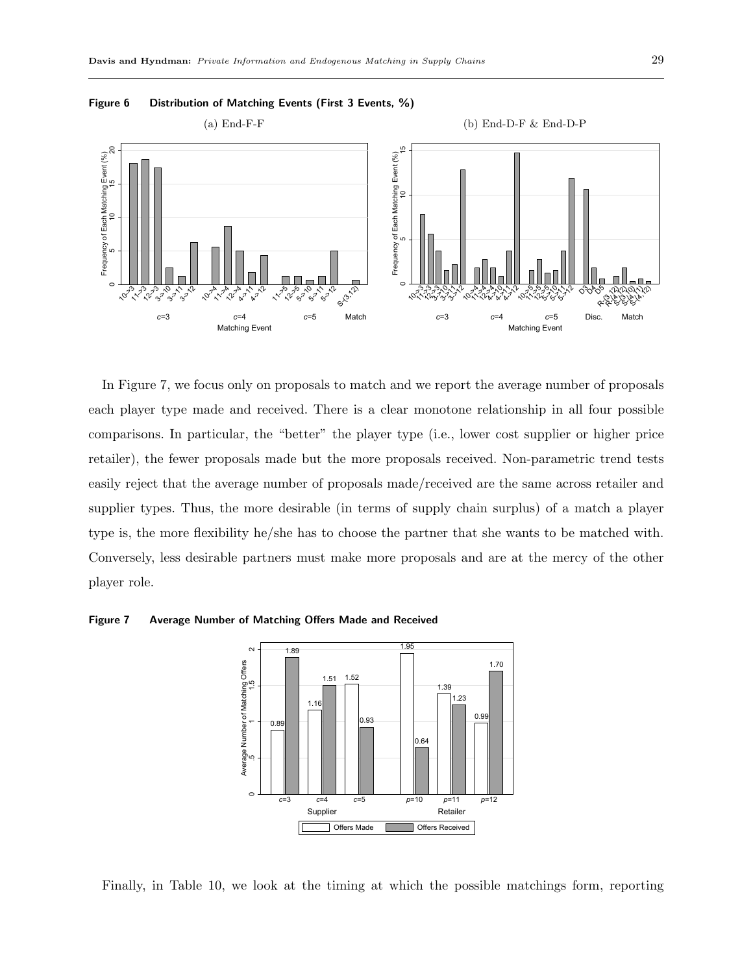

Figure 6 Distribution of Matching Events (First 3 Events, %)

In Figure 7, we focus only on proposals to match and we report the average number of proposals each player type made and received. There is a clear monotone relationship in all four possible comparisons. In particular, the "better" the player type (i.e., lower cost supplier or higher price retailer), the fewer proposals made but the more proposals received. Non-parametric trend tests easily reject that the average number of proposals made/received are the same across retailer and supplier types. Thus, the more desirable (in terms of supply chain surplus) of a match a player type is, the more flexibility he/she has to choose the partner that she wants to be matched with. Conversely, less desirable partners must make more proposals and are at the mercy of the other player role.

#### Figure 7 Average Number of Matching Offers Made and Received



Finally, in Table 10, we look at the timing at which the possible matchings form, reporting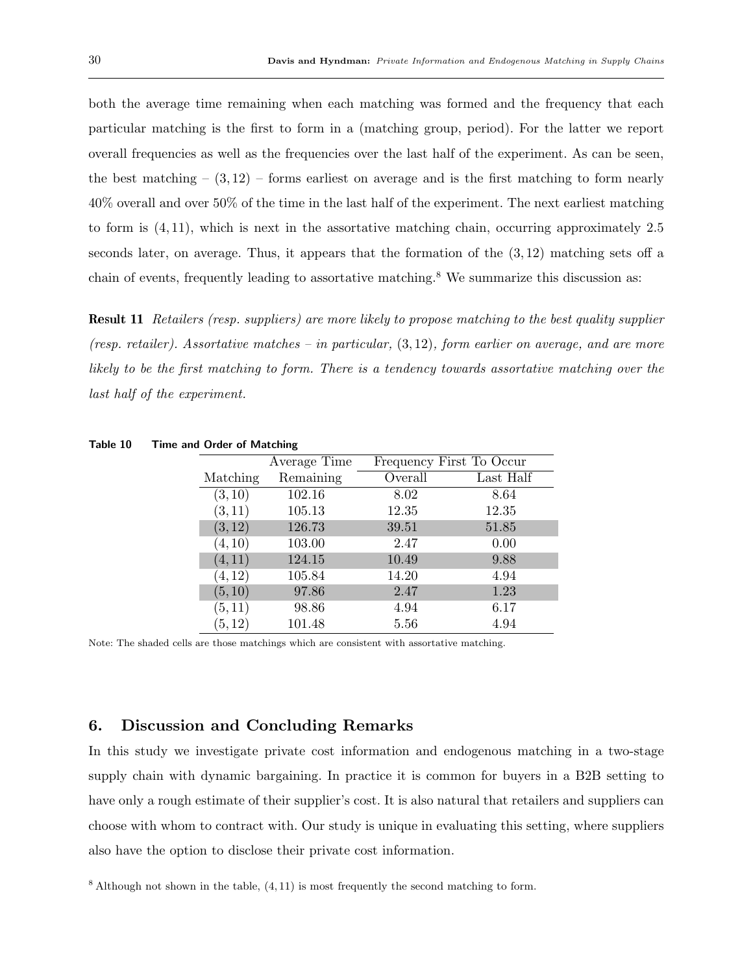both the average time remaining when each matching was formed and the frequency that each particular matching is the first to form in a (matching group, period). For the latter we report overall frequencies as well as the frequencies over the last half of the experiment. As can be seen, the best matching  $(3,12)$  – forms earliest on average and is the first matching to form nearly 40% overall and over 50% of the time in the last half of the experiment. The next earliest matching to form is (4, 11), which is next in the assortative matching chain, occurring approximately 2.5 seconds later, on average. Thus, it appears that the formation of the (3, 12) matching sets off a chain of events, frequently leading to assortative matching.<sup>8</sup> We summarize this discussion as:

Result 11 Retailers (resp. suppliers) are more likely to propose matching to the best quality supplier (resp. retailer). Assortative matches – in particular,  $(3,12)$ , form earlier on average, and are more likely to be the first matching to form. There is a tendency towards assortative matching over the last half of the experiment.

| $\sim$ 0.00. 0.100.000.000 |              |                          |           |
|----------------------------|--------------|--------------------------|-----------|
|                            | Average Time | Frequency First To Occur |           |
| Matching                   | Remaining    | Overall                  | Last Half |
| (3, 10)                    | 102.16       | 8.02                     | 8.64      |
| (3, 11)                    | 105.13       | 12.35                    | 12.35     |
| (3, 12)                    | 126.73       | 39.51                    | 51.85     |
| (4, 10)                    | 103.00       | 2.47                     | 0.00      |
| (4, 11)                    | 124.15       | 10.49                    | 9.88      |
| (4, 12)                    | 105.84       | 14.20                    | 4.94      |
| (5, 10)                    | 97.86        | 2.47                     | 1.23      |
| (5, 11)                    | 98.86        | 4.94                     | 6.17      |
| (5, 12)                    | 101.48       | 5.56                     | 4.94      |

Table 10 Time and Order of Matching

Note: The shaded cells are those matchings which are consistent with assortative matching.

# 6. Discussion and Concluding Remarks

In this study we investigate private cost information and endogenous matching in a two-stage supply chain with dynamic bargaining. In practice it is common for buyers in a B2B setting to have only a rough estimate of their supplier's cost. It is also natural that retailers and suppliers can choose with whom to contract with. Our study is unique in evaluating this setting, where suppliers also have the option to disclose their private cost information.

 $8$  Although not shown in the table,  $(4, 11)$  is most frequently the second matching to form.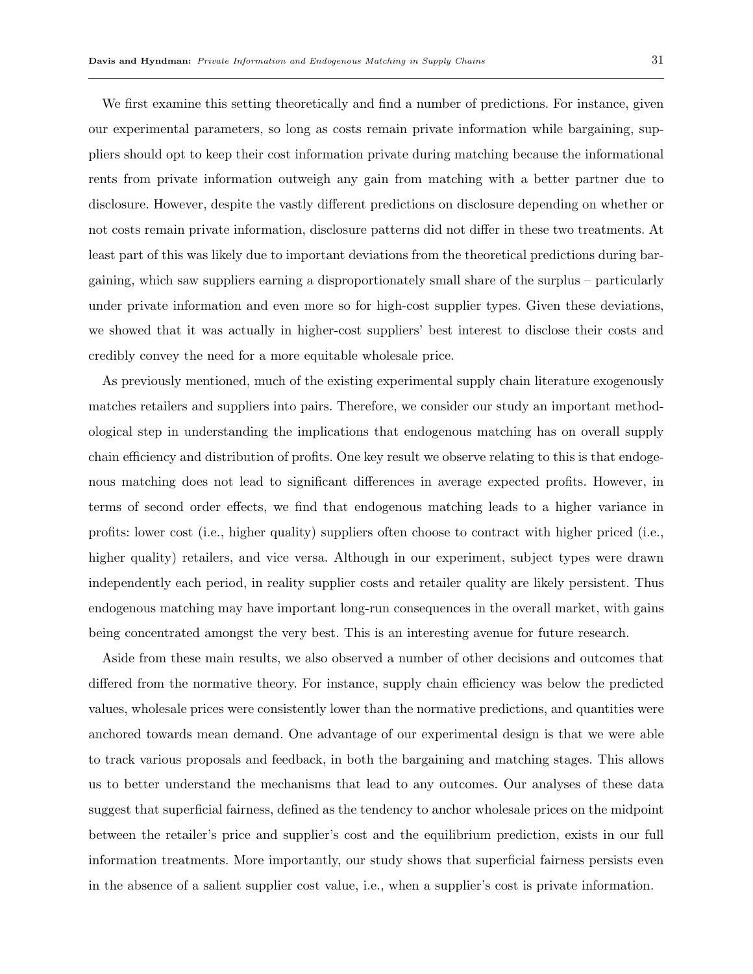We first examine this setting theoretically and find a number of predictions. For instance, given our experimental parameters, so long as costs remain private information while bargaining, suppliers should opt to keep their cost information private during matching because the informational rents from private information outweigh any gain from matching with a better partner due to disclosure. However, despite the vastly different predictions on disclosure depending on whether or not costs remain private information, disclosure patterns did not differ in these two treatments. At least part of this was likely due to important deviations from the theoretical predictions during bargaining, which saw suppliers earning a disproportionately small share of the surplus – particularly under private information and even more so for high-cost supplier types. Given these deviations, we showed that it was actually in higher-cost suppliers' best interest to disclose their costs and credibly convey the need for a more equitable wholesale price.

As previously mentioned, much of the existing experimental supply chain literature exogenously matches retailers and suppliers into pairs. Therefore, we consider our study an important methodological step in understanding the implications that endogenous matching has on overall supply chain efficiency and distribution of profits. One key result we observe relating to this is that endogenous matching does not lead to significant differences in average expected profits. However, in terms of second order effects, we find that endogenous matching leads to a higher variance in profits: lower cost (i.e., higher quality) suppliers often choose to contract with higher priced (i.e., higher quality) retailers, and vice versa. Although in our experiment, subject types were drawn independently each period, in reality supplier costs and retailer quality are likely persistent. Thus endogenous matching may have important long-run consequences in the overall market, with gains being concentrated amongst the very best. This is an interesting avenue for future research.

Aside from these main results, we also observed a number of other decisions and outcomes that differed from the normative theory. For instance, supply chain efficiency was below the predicted values, wholesale prices were consistently lower than the normative predictions, and quantities were anchored towards mean demand. One advantage of our experimental design is that we were able to track various proposals and feedback, in both the bargaining and matching stages. This allows us to better understand the mechanisms that lead to any outcomes. Our analyses of these data suggest that superficial fairness, defined as the tendency to anchor wholesale prices on the midpoint between the retailer's price and supplier's cost and the equilibrium prediction, exists in our full information treatments. More importantly, our study shows that superficial fairness persists even in the absence of a salient supplier cost value, i.e., when a supplier's cost is private information.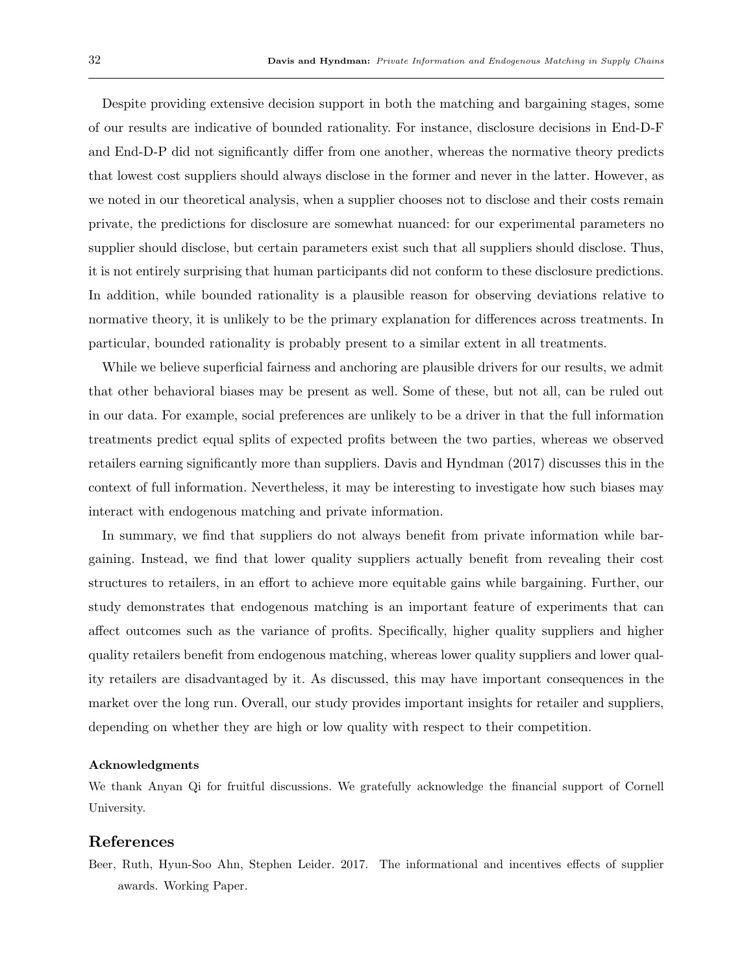Despite providing extensive decision support in both the matching and bargaining stages, some of our results are indicative of bounded rationality. For instance, disclosure decisions in End-D-F and End-D-P did not significantly differ from one another, whereas the normative theory predicts that lowest cost suppliers should always disclose in the former and never in the latter. However, as we noted in our theoretical analysis, when a supplier chooses not to disclose and their costs remain private, the predictions for disclosure are somewhat nuanced: for our experimental parameters no supplier should disclose, but certain parameters exist such that all suppliers should disclose. Thus, it is not entirely surprising that human participants did not conform to these disclosure predictions. In addition, while bounded rationality is a plausible reason for observing deviations relative to normative theory, it is unlikely to be the primary explanation for differences across treatments. In particular, bounded rationality is probably present to a similar extent in all treatments.

While we believe superficial fairness and anchoring are plausible drivers for our results, we admit that other behavioral biases may be present as well. Some of these, but not all, can be ruled out in our data. For example, social preferences are unlikely to be a driver in that the full information treatments predict equal splits of expected profits between the two parties, whereas we observed retailers earning significantly more than suppliers. Davis and Hyndman (2017) discusses this in the context of full information. Nevertheless, it may be interesting to investigate how such biases may interact with endogenous matching and private information.

In summary, we find that suppliers do not always benefit from private information while bargaining. Instead, we find that lower quality suppliers actually benefit from revealing their cost structures to retailers, in an effort to achieve more equitable gains while bargaining. Further, our study demonstrates that endogenous matching is an important feature of experiments that can affect outcomes such as the variance of profits. Specifically, higher quality suppliers and higher quality retailers benefit from endogenous matching, whereas lower quality suppliers and lower quality retailers are disadvantaged by it. As discussed, this may have important consequences in the market over the long run. Overall, our study provides important insights for retailer and suppliers, depending on whether they are high or low quality with respect to their competition.

#### Acknowledgments

We thank Anyan Qi for fruitful discussions. We gratefully acknowledge the financial support of Cornell University.

## References

Beer, Ruth, Hyun-Soo Ahn, Stephen Leider. 2017. The informational and incentives effects of supplier awards. Working Paper.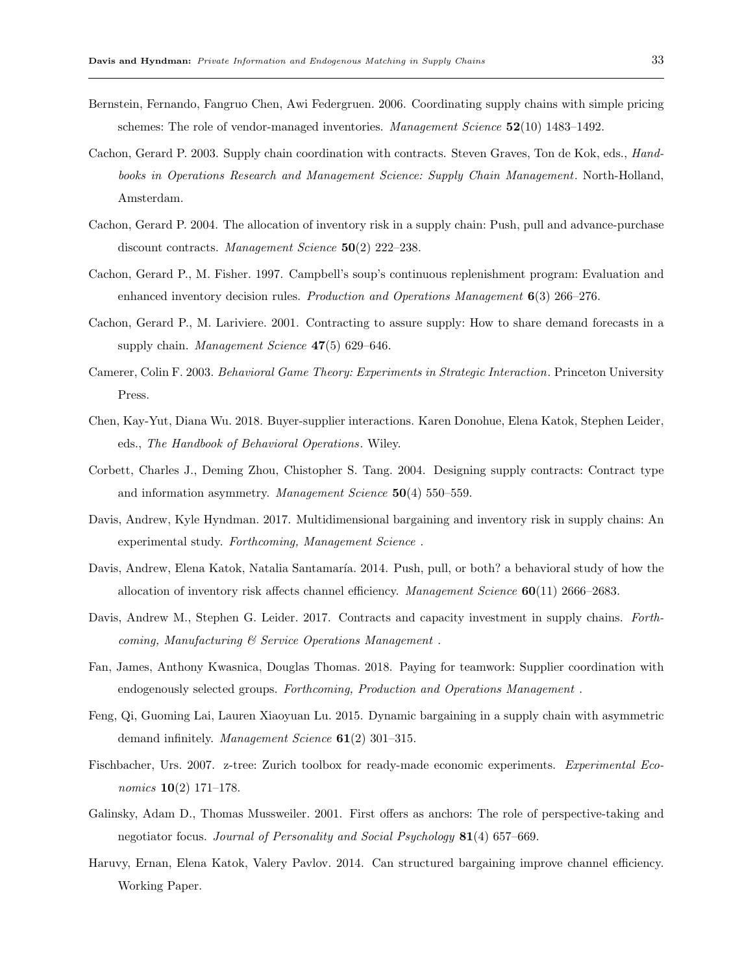- Bernstein, Fernando, Fangruo Chen, Awi Federgruen. 2006. Coordinating supply chains with simple pricing schemes: The role of vendor-managed inventories. Management Science  $52(10)$  1483–1492.
- Cachon, Gerard P. 2003. Supply chain coordination with contracts. Steven Graves, Ton de Kok, eds., Handbooks in Operations Research and Management Science: Supply Chain Management. North-Holland, Amsterdam.
- Cachon, Gerard P. 2004. The allocation of inventory risk in a supply chain: Push, pull and advance-purchase discount contracts. Management Science  $50(2)$  222–238.
- Cachon, Gerard P., M. Fisher. 1997. Campbell's soup's continuous replenishment program: Evaluation and enhanced inventory decision rules. Production and Operations Management  $6(3)$  266–276.
- Cachon, Gerard P., M. Lariviere. 2001. Contracting to assure supply: How to share demand forecasts in a supply chain. Management Science  $47(5)$  629–646.
- Camerer, Colin F. 2003. Behavioral Game Theory: Experiments in Strategic Interaction. Princeton University Press.
- Chen, Kay-Yut, Diana Wu. 2018. Buyer-supplier interactions. Karen Donohue, Elena Katok, Stephen Leider, eds., The Handbook of Behavioral Operations. Wiley.
- Corbett, Charles J., Deming Zhou, Chistopher S. Tang. 2004. Designing supply contracts: Contract type and information asymmetry. Management Science  $50(4)$  550–559.
- Davis, Andrew, Kyle Hyndman. 2017. Multidimensional bargaining and inventory risk in supply chains: An experimental study. Forthcoming, Management Science .
- Davis, Andrew, Elena Katok, Natalia Santamaría. 2014. Push, pull, or both? a behavioral study of how the allocation of inventory risk affects channel efficiency. Management Science  $60(11)$  2666–2683.
- Davis, Andrew M., Stephen G. Leider. 2017. Contracts and capacity investment in supply chains. Forthcoming, Manufacturing & Service Operations Management .
- Fan, James, Anthony Kwasnica, Douglas Thomas. 2018. Paying for teamwork: Supplier coordination with endogenously selected groups. Forthcoming, Production and Operations Management .
- Feng, Qi, Guoming Lai, Lauren Xiaoyuan Lu. 2015. Dynamic bargaining in a supply chain with asymmetric demand infinitely. Management Science  $61(2)$  301–315.
- Fischbacher, Urs. 2007. z-tree: Zurich toolbox for ready-made economic experiments. Experimental Economics 10(2) 171–178.
- Galinsky, Adam D., Thomas Mussweiler. 2001. First offers as anchors: The role of perspective-taking and negotiator focus. Journal of Personality and Social Psychology 81(4) 657–669.
- Haruvy, Ernan, Elena Katok, Valery Pavlov. 2014. Can structured bargaining improve channel efficiency. Working Paper.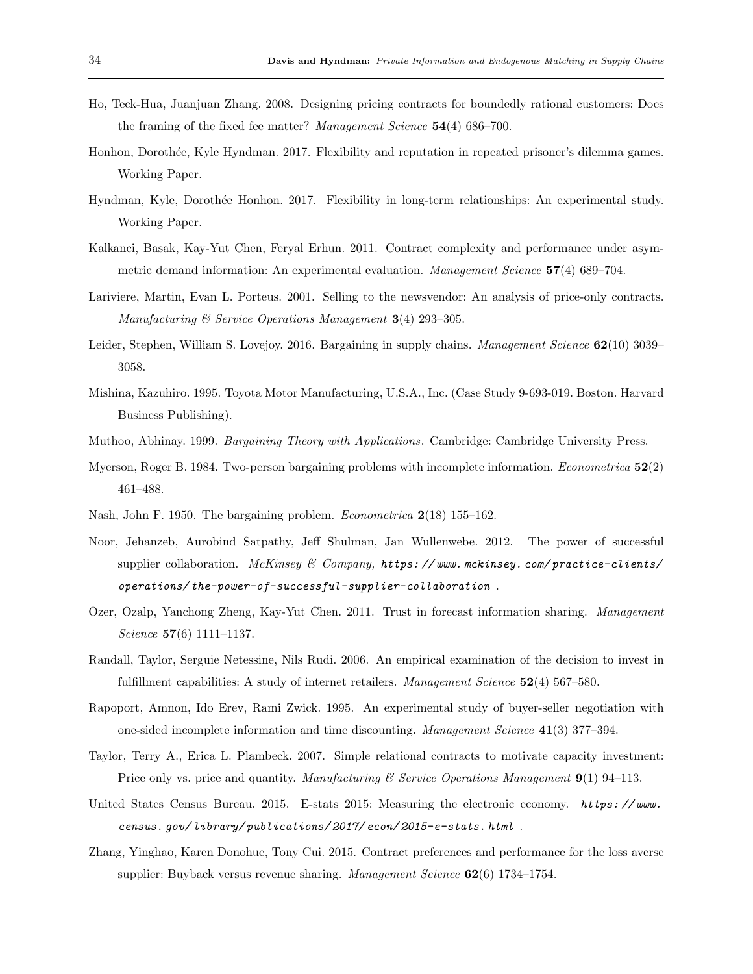- Ho, Teck-Hua, Juanjuan Zhang. 2008. Designing pricing contracts for boundedly rational customers: Does the framing of the fixed fee matter? Management Science 54(4) 686–700.
- Honhon, Doroth´ee, Kyle Hyndman. 2017. Flexibility and reputation in repeated prisoner's dilemma games. Working Paper.
- Hyndman, Kyle, Dorothée Honhon. 2017. Flexibility in long-term relationships: An experimental study. Working Paper.
- Kalkanci, Basak, Kay-Yut Chen, Feryal Erhun. 2011. Contract complexity and performance under asymmetric demand information: An experimental evaluation. Management Science 57(4) 689–704.
- Lariviere, Martin, Evan L. Porteus. 2001. Selling to the newsvendor: An analysis of price-only contracts. Manufacturing & Service Operations Management 3(4) 293–305.
- Leider, Stephen, William S. Lovejoy. 2016. Bargaining in supply chains. Management Science 62(10) 3039– 3058.
- Mishina, Kazuhiro. 1995. Toyota Motor Manufacturing, U.S.A., Inc. (Case Study 9-693-019. Boston. Harvard Business Publishing).
- Muthoo, Abhinay. 1999. Bargaining Theory with Applications. Cambridge: Cambridge University Press.
- Myerson, Roger B. 1984. Two-person bargaining problems with incomplete information. Econometrica 52(2) 461–488.
- Nash, John F. 1950. The bargaining problem. Econometrica 2(18) 155–162.
- Noor, Jehanzeb, Aurobind Satpathy, Jeff Shulman, Jan Wullenwebe. 2012. The power of successful supplier collaboration. McKinsey & Company,  $https://www.mckinsey.com/practic-clients/$ operations/ the-power-of-successful-supplier-collaboration .
- Ozer, Ozalp, Yanchong Zheng, Kay-Yut Chen. 2011. Trust in forecast information sharing. Management Science 57(6) 1111–1137.
- Randall, Taylor, Serguie Netessine, Nils Rudi. 2006. An empirical examination of the decision to invest in fulfillment capabilities: A study of internet retailers. *Management Science*  $52(4)$  567–580.
- Rapoport, Amnon, Ido Erev, Rami Zwick. 1995. An experimental study of buyer-seller negotiation with one-sided incomplete information and time discounting. Management Science 41(3) 377–394.
- Taylor, Terry A., Erica L. Plambeck. 2007. Simple relational contracts to motivate capacity investment: Price only vs. price and quantity. Manufacturing  $\mathscr B$  Service Operations Management 9(1) 94–113.
- United States Census Bureau. 2015. E-stats 2015: Measuring the electronic economy. https://www. census. gov/ library/ publications/ 2017/ econ/ 2015-e-stats. html .
- Zhang, Yinghao, Karen Donohue, Tony Cui. 2015. Contract preferences and performance for the loss averse supplier: Buyback versus revenue sharing. Management Science  $62(6)$  1734–1754.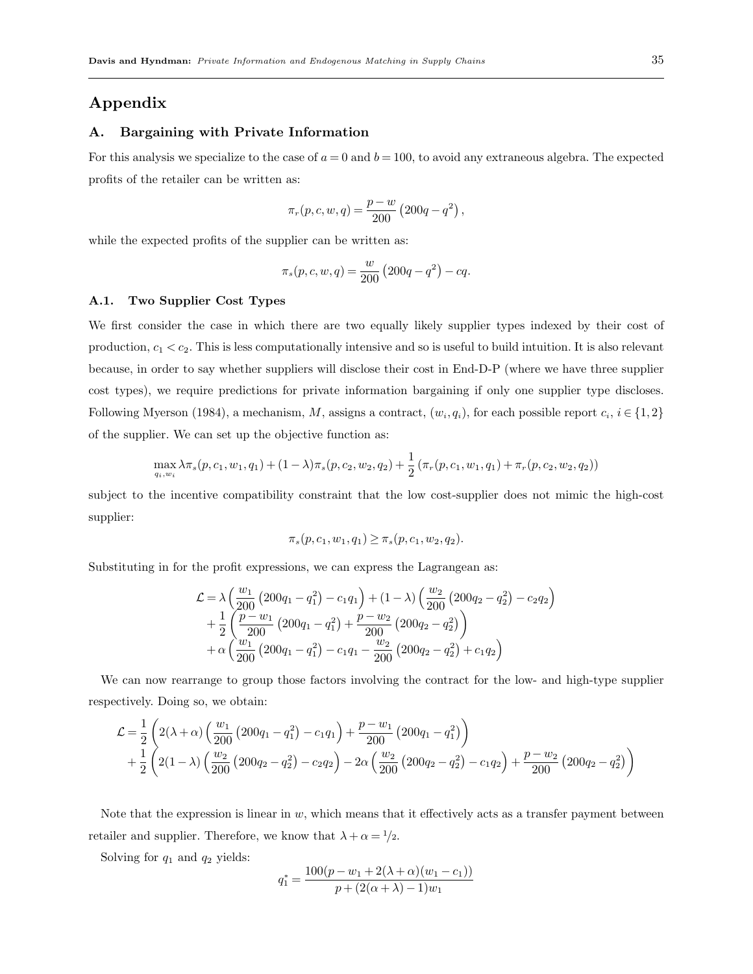# Appendix

## A. Bargaining with Private Information

For this analysis we specialize to the case of  $a = 0$  and  $b = 100$ , to avoid any extraneous algebra. The expected profits of the retailer can be written as:

$$
\pi_r(p, c, w, q) = \frac{p - w}{200} (200q - q^2),
$$

while the expected profits of the supplier can be written as:

$$
\pi_s(p, c, w, q) = \frac{w}{200} (200q - q^2) - cq.
$$

#### A.1. Two Supplier Cost Types

We first consider the case in which there are two equally likely supplier types indexed by their cost of production,  $c_1 < c_2$ . This is less computationally intensive and so is useful to build intuition. It is also relevant because, in order to say whether suppliers will disclose their cost in End-D-P (where we have three supplier cost types), we require predictions for private information bargaining if only one supplier type discloses. Following Myerson (1984), a mechanism, M, assigns a contract,  $(w_i, q_i)$ , for each possible report  $c_i, i \in \{1, 2\}$ of the supplier. We can set up the objective function as:

$$
\max_{q_i, w_i} \lambda \pi_s(p, c_1, w_1, q_1) + (1 - \lambda) \pi_s(p, c_2, w_2, q_2) + \frac{1}{2} (\pi_r(p, c_1, w_1, q_1) + \pi_r(p, c_2, w_2, q_2))
$$

subject to the incentive compatibility constraint that the low cost-supplier does not mimic the high-cost supplier:

$$
\pi_s(p, c_1, w_1, q_1) \ge \pi_s(p, c_1, w_2, q_2).
$$

Substituting in for the profit expressions, we can express the Lagrangean as:

$$
\mathcal{L} = \lambda \left( \frac{w_1}{200} \left( 200q_1 - q_1^2 \right) - c_1 q_1 \right) + (1 - \lambda) \left( \frac{w_2}{200} \left( 200q_2 - q_2^2 \right) - c_2 q_2 \right) \n+ \frac{1}{2} \left( \frac{p - w_1}{200} \left( 200q_1 - q_1^2 \right) + \frac{p - w_2}{200} \left( 200q_2 - q_2^2 \right) \right) \n+ \alpha \left( \frac{w_1}{200} \left( 200q_1 - q_1^2 \right) - c_1 q_1 - \frac{w_2}{200} \left( 200q_2 - q_2^2 \right) + c_1 q_2 \right)
$$

We can now rearrange to group those factors involving the contract for the low- and high-type supplier respectively. Doing so, we obtain:

$$
\mathcal{L} = \frac{1}{2} \left( 2(\lambda + \alpha) \left( \frac{w_1}{200} \left( 200q_1 - q_1^2 \right) - c_1 q_1 \right) + \frac{p - w_1}{200} \left( 200q_1 - q_1^2 \right) \right) \n+ \frac{1}{2} \left( 2(1 - \lambda) \left( \frac{w_2}{200} \left( 200q_2 - q_2^2 \right) - c_2 q_2 \right) - 2\alpha \left( \frac{w_2}{200} \left( 200q_2 - q_2^2 \right) - c_1 q_2 \right) + \frac{p - w_2}{200} \left( 200q_2 - q_2^2 \right) \right)
$$

Note that the expression is linear in  $w$ , which means that it effectively acts as a transfer payment between retailer and supplier. Therefore, we know that  $\lambda + \alpha = \frac{1}{2}$ .

Solving for  $q_1$  and  $q_2$  yields:

$$
q_1^* = \frac{100(p - w_1 + 2(\lambda + \alpha)(w_1 - c_1))}{p + (2(\alpha + \lambda) - 1)w_1}
$$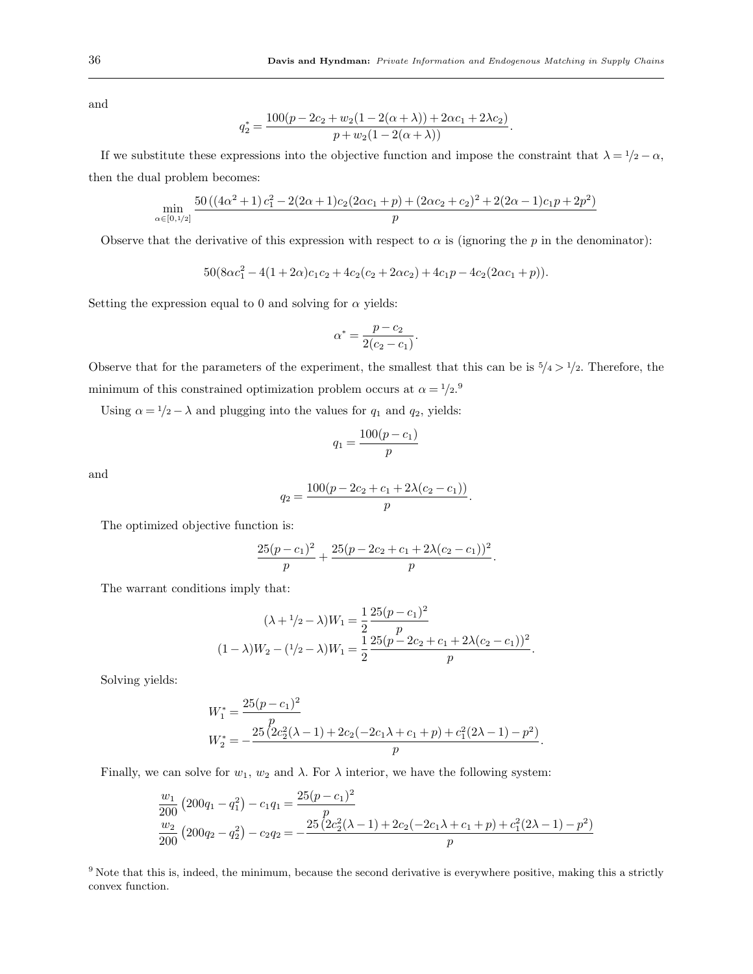and

$$
q_2^* = \frac{100(p - 2c_2 + w_2(1 - 2(\alpha + \lambda)) + 2\alpha c_1 + 2\lambda c_2)}{p + w_2(1 - 2(\alpha + \lambda))}.
$$

If we substitute these expressions into the objective function and impose the constraint that  $\lambda = 1/2 - \alpha$ , then the dual problem becomes:

$$
\min_{\alpha\in[0,1/2]}\frac{50\left((4\alpha^{2}+1)\,c_1^{2}-2(2\alpha+1)c_2(2\alpha c_1+p)+ (2\alpha c_2+c_2)^{2}+2(2\alpha-1)c_1p+2p^2\right)}{p}
$$

Observe that the derivative of this expression with respect to  $\alpha$  is (ignoring the p in the denominator):

 $50(8\alpha c_1^2 - 4(1+2\alpha)c_1c_2 + 4c_2(c_2+2\alpha c_2) + 4c_1p - 4c_2(2\alpha c_1 + p)).$ 

Setting the expression equal to 0 and solving for  $\alpha$  yields:

$$
\alpha^* = \frac{p - c_2}{2(c_2 - c_1)}.
$$

Observe that for the parameters of the experiment, the smallest that this can be is  $5/4 > 1/2$ . Therefore, the minimum of this constrained optimization problem occurs at  $\alpha = \frac{1}{2}$ .

Using  $\alpha = \frac{1}{2} - \lambda$  and plugging into the values for  $q_1$  and  $q_2$ , yields:

$$
q_1 = \frac{100(p - c_1)}{p}
$$

and

$$
q_2 = \frac{100(p - 2c_2 + c_1 + 2\lambda(c_2 - c_1))}{p}.
$$

The optimized objective function is:

$$
\frac{25(p-c_1)^2}{p} + \frac{25(p-2c_2+c_1+2\lambda(c_2-c_1))^2}{p}.
$$

The warrant conditions imply that:

$$
(\lambda + 1/2 - \lambda)W_1 = \frac{1}{2} \frac{25(p - c_1)^2}{p}
$$

$$
(1 - \lambda)W_2 - (1/2 - \lambda)W_1 = \frac{1}{2} \frac{25(p - 2c_2 + c_1 + 2\lambda(c_2 - c_1))^2}{p}.
$$

Solving yields:

$$
W_1^* = \frac{25(p - c_1)^2}{p}
$$
  
\n
$$
W_2^* = -\frac{25(2c_2^2(\lambda - 1) + 2c_2(-2c_1\lambda + c_1 + p) + c_1^2(2\lambda - 1) - p^2)}{p}.
$$

Finally, we can solve for  $w_1, w_2$  and  $\lambda$ . For  $\lambda$  interior, we have the following system:

$$
\frac{w_1}{200} \left( 200q_1 - q_1^2 \right) - c_1 q_1 = \frac{25(p - c_1)^2}{p}
$$
  

$$
\frac{w_2}{200} \left( 200q_2 - q_2^2 \right) - c_2 q_2 = -\frac{25(2c_2^2(\lambda - 1) + 2c_2(-2c_1\lambda + c_1 + p) + c_1^2(2\lambda - 1) - p^2)}{p}
$$

 $9$  Note that this is, indeed, the minimum, because the second derivative is everywhere positive, making this a strictly convex function.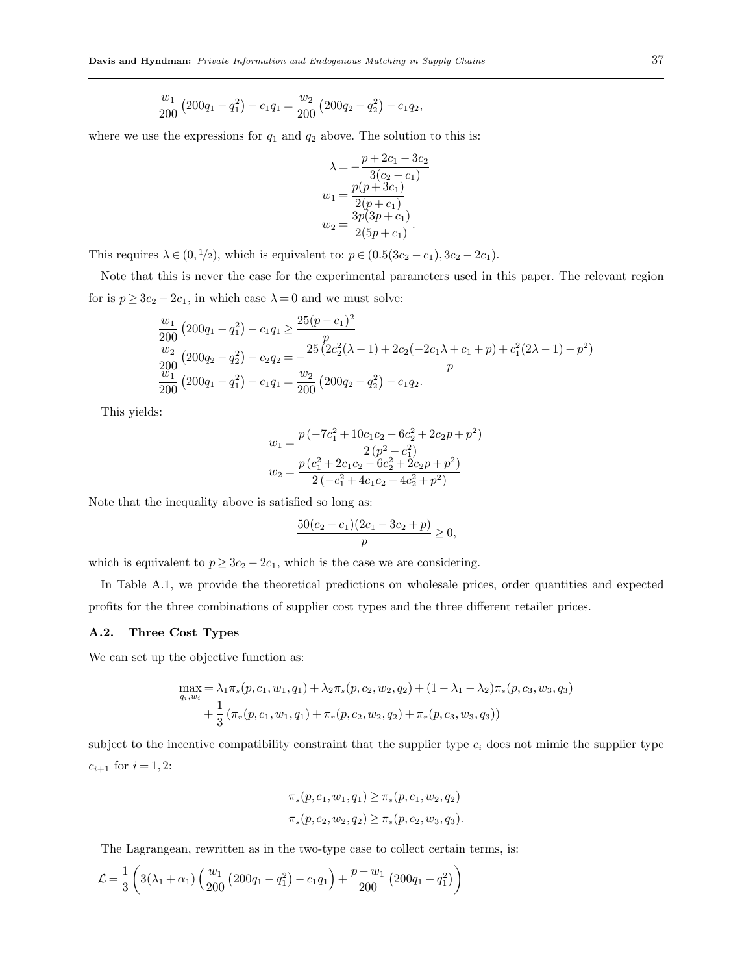$$
\frac{w_1}{200} \left( 200q_1 - q_1^2 \right) - c_1 q_1 = \frac{w_2}{200} \left( 200q_2 - q_2^2 \right) - c_1 q_2,
$$

where we use the expressions for  $q_1$  and  $q_2$  above. The solution to this is:

$$
\lambda = -\frac{p + 2c_1 - 3c_2}{3(c_2 - c_1)}
$$

$$
w_1 = \frac{p(p + 3c_1)}{2(p + c_1)}
$$

$$
w_2 = \frac{3p(3p + c_1)}{2(5p + c_1)}.
$$

This requires  $\lambda \in (0, 1/2)$ , which is equivalent to:  $p \in (0.5(3c_2 - c_1), 3c_2 - 2c_1)$ .

Note that this is never the case for the experimental parameters used in this paper. The relevant region for is  $p \ge 3c_2 - 2c_1$ , in which case  $\lambda = 0$  and we must solve:

$$
\frac{w_1}{200} \left( 200q_1 - q_1^2 \right) - c_1 q_1 \ge \frac{25(p - c_1)^2}{p}
$$
  
\n
$$
\frac{w_2}{200} \left( 200q_2 - q_2^2 \right) - c_2 q_2 = -\frac{25(2c_2^2(\lambda - 1) + 2c_2(-2c_1\lambda + c_1 + p) + c_1^2(2\lambda - 1) - p^2)}{p}
$$
  
\n
$$
\frac{w_1}{200} \left( 200q_1 - q_1^2 \right) - c_1 q_1 = \frac{w_2}{200} \left( 200q_2 - q_2^2 \right) - c_1 q_2.
$$

This yields:

$$
w_1 = \frac{p(-7c_1^2 + 10c_1c_2 - 6c_2^2 + 2c_2p + p^2)}{2(p^2 - c_1^2)}
$$
  

$$
w_2 = \frac{p(c_1^2 + 2c_1c_2 - 6c_2^2 + 2c_2p + p^2)}{2(-c_1^2 + 4c_1c_2 - 4c_2^2 + p^2)}
$$

Note that the inequality above is satisfied so long as:

$$
\frac{50(c_2 - c_1)(2c_1 - 3c_2 + p)}{p} \ge 0,
$$

which is equivalent to  $p \ge 3c_2 - 2c_1$ , which is the case we are considering.

In Table A.1, we provide the theoretical predictions on wholesale prices, order quantities and expected profits for the three combinations of supplier cost types and the three different retailer prices.

## A.2. Three Cost Types

We can set up the objective function as:

$$
\max_{q_i, w_i} = \lambda_1 \pi_s(p, c_1, w_1, q_1) + \lambda_2 \pi_s(p, c_2, w_2, q_2) + (1 - \lambda_1 - \lambda_2) \pi_s(p, c_3, w_3, q_3) + \frac{1}{3} (\pi_r(p, c_1, w_1, q_1) + \pi_r(p, c_2, w_2, q_2) + \pi_r(p, c_3, w_3, q_3))
$$

subject to the incentive compatibility constraint that the supplier type  $c_i$  does not mimic the supplier type  $c_{i+1}$  for  $i = 1, 2$ :

$$
\pi_s(p, c_1, w_1, q_1) \ge \pi_s(p, c_1, w_2, q_2)
$$
  

$$
\pi_s(p, c_2, w_2, q_2) \ge \pi_s(p, c_2, w_3, q_3).
$$

The Lagrangean, rewritten as in the two-type case to collect certain terms, is:

$$
\mathcal{L} = \frac{1}{3} \left( 3(\lambda_1 + \alpha_1) \left( \frac{w_1}{200} \left( 200q_1 - q_1^2 \right) - c_1 q_1 \right) + \frac{p - w_1}{200} \left( 200q_1 - q_1^2 \right) \right)
$$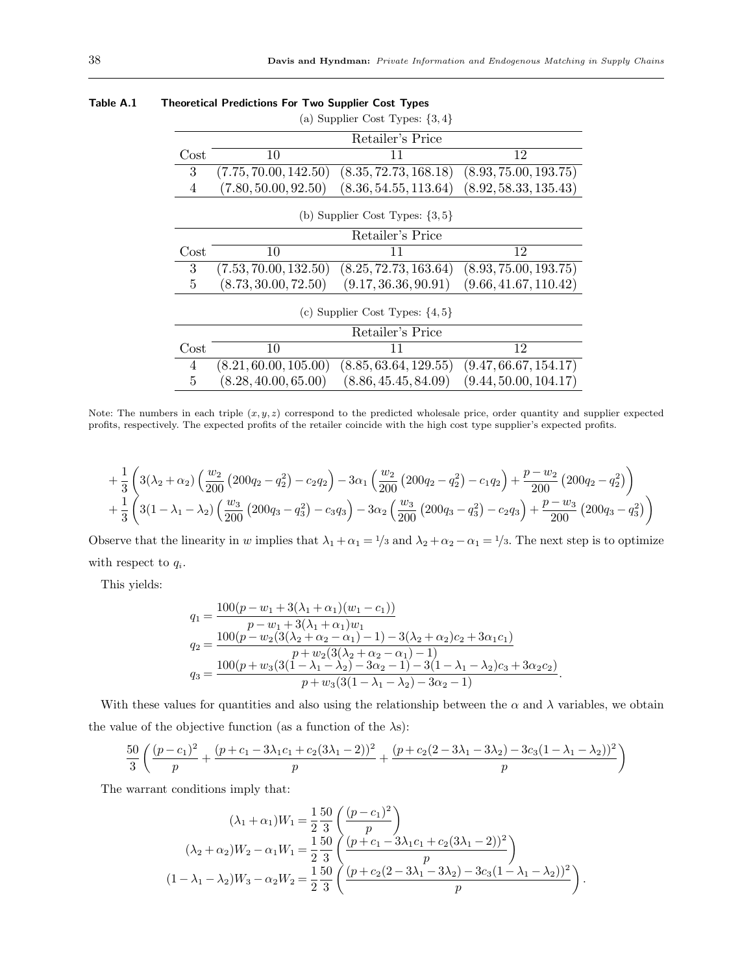|          |                       | (a) Supplier Cost Types: $\{3,4\}$  |                       |
|----------|-----------------------|-------------------------------------|-----------------------|
|          |                       | Retailer's Price                    |                       |
| $\cos t$ | 10                    | 11                                  | 12                    |
| 3        | (7.75, 70.00, 142.50) | (8.35, 72.73, 168.18)               | (8.93, 75.00, 193.75) |
| 4        | (7.80, 50.00, 92.50)  | (8.36, 54.55, 113.64)               | (8.92, 58.33, 135.43) |
|          |                       | (b) Supplier Cost Types: $\{3, 5\}$ |                       |
|          |                       | Retailer's Price                    |                       |
| Cost     | 10                    | 11                                  | 12                    |
| 3        | (7.53, 70.00, 132.50) | (8.25, 72.73, 163.64)               | (8.93, 75.00, 193.75) |
| 5        | (8.73, 30.00, 72.50)  | (9.17, 36.36, 90.91)                | (9.66, 41.67, 110.42) |
|          |                       | (c) Supplier Cost Types: $\{4, 5\}$ |                       |
|          |                       | Retailer's Price                    |                       |
| $\cos t$ | 10                    | 11                                  | 12                    |
| 4        | (8.21, 60.00, 105.00) | (8.85, 63.64, 129.55)               | (9.47, 66.67, 154.17) |
| 5        | (8.28, 40.00, 65.00)  | (8.86, 45.45, 84.09)                | (9.44, 50.00, 104.17) |

#### Table A.1 Theoretical Predictions For Two Supplier Cost Types

Note: The numbers in each triple  $(x, y, z)$  correspond to the predicted wholesale price, order quantity and supplier expected profits, respectively. The expected profits of the retailer coincide with the high cost type supplier's expected profits.

$$
+\frac{1}{3}\left(3(\lambda_2+\alpha_2)\left(\frac{w_2}{200}\left(200q_2-q_2^2\right)-c_2q_2\right)-3\alpha_1\left(\frac{w_2}{200}\left(200q_2-q_2^2\right)-c_1q_2\right)+\frac{p-w_2}{200}\left(200q_2-q_2^2\right)\right) +\frac{1}{3}\left(3(1-\lambda_1-\lambda_2)\left(\frac{w_3}{200}\left(200q_3-q_3^2\right)-c_3q_3\right)-3\alpha_2\left(\frac{w_3}{200}\left(200q_3-q_3^2\right)-c_2q_3\right)+\frac{p-w_3}{200}\left(200q_3-q_3^2\right)\right)
$$

Observe that the linearity in w implies that  $\lambda_1 + \alpha_1 = \frac{1}{3}$  and  $\lambda_2 + \alpha_2 - \alpha_1 = \frac{1}{3}$ . The next step is to optimize with respect to  $q_i$ .

This yields:

$$
q_1 = \frac{100(p - w_1 + 3(\lambda_1 + \alpha_1)(w_1 - c_1))}{p - w_1 + 3(\lambda_1 + \alpha_1)w_1}
$$
  
\n
$$
q_2 = \frac{100(p - w_2(3(\lambda_2 + \alpha_2 - \alpha_1) - 1) - 3(\lambda_2 + \alpha_2)c_2 + 3\alpha_1c_1)}{p + w_2(3(\lambda_2 + \alpha_2 - \alpha_1) - 1)}
$$
  
\n
$$
q_3 = \frac{100(p + w_3(3(1 - \lambda_1 - \lambda_2) - 3\alpha_2 - 1) - 3(1 - \lambda_1 - \lambda_2)c_3 + 3\alpha_2c_2)}{p + w_3(3(1 - \lambda_1 - \lambda_2) - 3\alpha_2 - 1)}.
$$

With these values for quantities and also using the relationship between the  $\alpha$  and  $\lambda$  variables, we obtain the value of the objective function (as a function of the  $\lambda$ s):

$$
\frac{50}{3}\left(\frac{(p-c_1)^2}{p} + \frac{(p+c_1-3\lambda_1c_1+c_2(3\lambda_1-2))^2}{p} + \frac{(p+c_2(2-3\lambda_1-3\lambda_2)-3c_3(1-\lambda_1-\lambda_2))^2}{p}\right)
$$

The warrant conditions imply that:

$$
(\lambda_1 + \alpha_1)W_1 = \frac{1}{2} \frac{50}{3} \left( \frac{(p - c_1)^2}{p} \right)
$$
  

$$
(\lambda_2 + \alpha_2)W_2 - \alpha_1 W_1 = \frac{1}{2} \frac{50}{3} \left( \frac{(p + c_1 - 3\lambda_1 c_1 + c_2 (3\lambda_1 - 2))^2}{p} \right)
$$
  

$$
(1 - \lambda_1 - \lambda_2)W_3 - \alpha_2 W_2 = \frac{1}{2} \frac{50}{3} \left( \frac{(p + c_2 (2 - 3\lambda_1 - 3\lambda_2) - 3c_3 (1 - \lambda_1 - \lambda_2))^2}{p} \right).
$$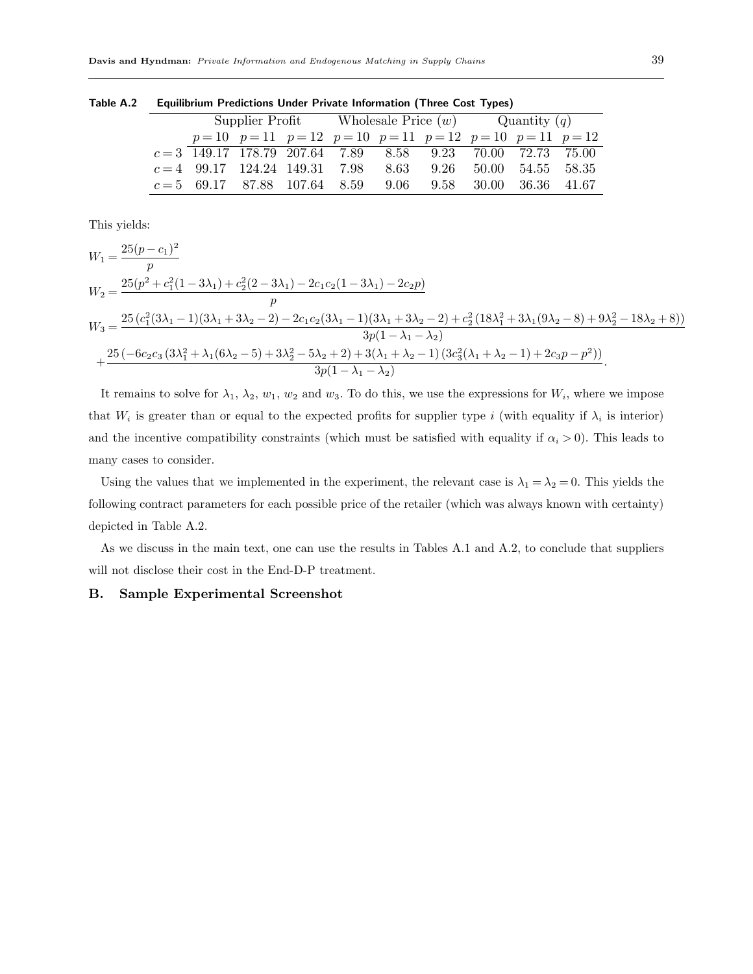Table A.2 Equilibrium Predictions Under Private Information (Three Cost Types)

|                                                             |                                                                |  | Supplier Profit Wholesale Price $(w)$ Quantity $(q)$ |      |      |  |                   |  |
|-------------------------------------------------------------|----------------------------------------------------------------|--|------------------------------------------------------|------|------|--|-------------------|--|
|                                                             | $p=10$ $p=11$ $p=12$ $p=10$ $p=11$ $p=12$ $p=10$ $p=11$ $p=12$ |  |                                                      |      |      |  |                   |  |
| $c=3$ 149.17 178.79 207.64 7.89 8.58 9.23 70.00 72.73 75.00 |                                                                |  |                                                      |      |      |  |                   |  |
| $c=4$ 99.17 124.24 149.31 7.98                              |                                                                |  |                                                      | 8.63 | 9.26 |  | 50.00 54.55 58.35 |  |
| $c=5$ 69.17 87.88 107.64 8.59 9.06 9.58 30.00 36.36 41.67   |                                                                |  |                                                      |      |      |  |                   |  |

This yields:

$$
W_1 = \frac{25(p-c_1)^2}{p}
$$
  
\n
$$
W_2 = \frac{25(p^2 + c_1^2(1 - 3\lambda_1) + c_2^2(2 - 3\lambda_1) - 2c_1c_2(1 - 3\lambda_1) - 2c_2p)}{p}
$$
  
\n
$$
W_3 = \frac{25(c_1^2(3\lambda_1 - 1)(3\lambda_1 + 3\lambda_2 - 2) - 2c_1c_2(3\lambda_1 - 1)(3\lambda_1 + 3\lambda_2 - 2) + c_2^2(18\lambda_1^2 + 3\lambda_1(9\lambda_2 - 8) + 9\lambda_2^2 - 18\lambda_2 + 8))}{3p(1 - \lambda_1 - \lambda_2)}
$$
  
\n
$$
+ \frac{25(-6c_2c_3(3\lambda_1^2 + \lambda_1(6\lambda_2 - 5) + 3\lambda_2^2 - 5\lambda_2 + 2) + 3(\lambda_1 + \lambda_2 - 1)(3c_3^2(\lambda_1 + \lambda_2 - 1) + 2c_3p - p^2))}{3p(1 - \lambda_1 - \lambda_2)}.
$$

It remains to solve for  $\lambda_1$ ,  $\lambda_2$ ,  $w_1$ ,  $w_2$  and  $w_3$ . To do this, we use the expressions for  $W_i$ , where we impose that  $W_i$  is greater than or equal to the expected profits for supplier type i (with equality if  $\lambda_i$  is interior) and the incentive compatibility constraints (which must be satisfied with equality if  $\alpha_i > 0$ ). This leads to many cases to consider.

Using the values that we implemented in the experiment, the relevant case is  $\lambda_1 = \lambda_2 = 0$ . This yields the following contract parameters for each possible price of the retailer (which was always known with certainty) depicted in Table A.2.

As we discuss in the main text, one can use the results in Tables A.1 and A.2, to conclude that suppliers will not disclose their cost in the End-D-P treatment.

## B. Sample Experimental Screenshot